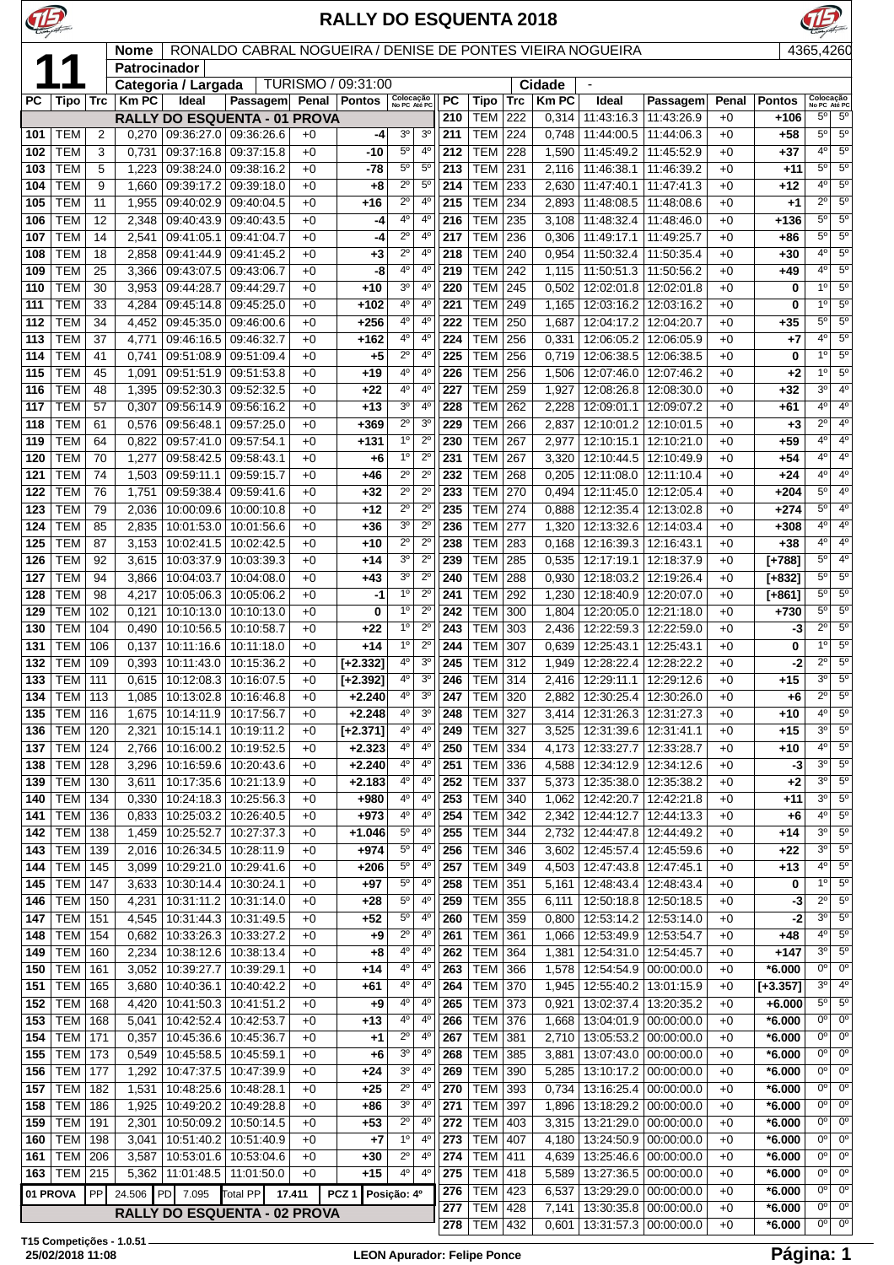

|            |                          | RONALDO CABRAL NOGUEIRA / DENISE DE PONTES VIEIRA NOGUEIRA<br>4365,4260<br><b>Nome</b><br><b>Patrocinador</b> |                |                                                |                                                       |              |                        |                               |                               |            |                           |            |                |                                                    |                       |              |                        |                               |                                  |
|------------|--------------------------|---------------------------------------------------------------------------------------------------------------|----------------|------------------------------------------------|-------------------------------------------------------|--------------|------------------------|-------------------------------|-------------------------------|------------|---------------------------|------------|----------------|----------------------------------------------------|-----------------------|--------------|------------------------|-------------------------------|----------------------------------|
|            |                          |                                                                                                               |                |                                                |                                                       |              |                        |                               |                               |            |                           |            |                |                                                    |                       |              |                        |                               |                                  |
|            |                          |                                                                                                               |                | Categoria / Largada                            |                                                       |              | TURISMO / 09:31:00     | Colocação                     |                               |            |                           |            | Cidade         |                                                    |                       |              |                        | Colocação                     |                                  |
| PC         | Tipo                     | Trc                                                                                                           | <b>Km PC</b>   | Ideal                                          | <b>Passagem</b>                                       | Penal        | <b>Pontos</b>          | No PC Até PC                  |                               | PC         | Tipo                      | <b>Trc</b> | <b>Km PC</b>   | Ideal                                              | Passagem              | Penal        | <b>Pontos</b>          | No PC Até PC<br>$5^{\circ}$   | $5^{\circ}$                      |
| 101        | <b>TEM</b>               | 2                                                                                                             | 0,270          |                                                | RALLY DO ESQUENTA - 01 PROVA<br>09:36:27.0 09:36:26.6 | $+0$         | -4                     | 3 <sup>o</sup>                | 3 <sup>o</sup>                | 210<br>211 | TEM<br><b>TEM</b>         | 222<br>224 | 0,314<br>0,748 | 11:43:16.3   11:43:26.9<br>11:44:00.5   11:44:06.3 |                       | $+0$<br>$+0$ | +106<br>+58            | $5^{\circ}$                   | $5^{\circ}$                      |
| 102        | <b>TEM</b>               | 3                                                                                                             | 0,731          | 09:37:16.8 09:37:15.8                          |                                                       | $+0$         | -10                    | $5^{\circ}$                   | 4°                            | 212        | TEM                       | 228        | 1,590          | 11:45:49.2   11:45:52.9                            |                       | $+0$         | $+37$                  | $4^{\circ}$                   | $5^{\circ}$                      |
| 103        | <b>TEM</b>               | 5                                                                                                             | 1,223          | 09:38:24.0                                     | 09:38:16.2                                            | $+0$         | -78                    | $5^{\circ}$                   | $5^{\circ}$                   | 213        | TEM                       | 231        | 2,116          | 11:46:38.1   11:46:39.2                            |                       | $+0$         | +11                    | $5^{\circ}$                   | 5 <sup>0</sup>                   |
| 104        | <b>TEM</b>               | 9                                                                                                             | 1,660          | 09:39:17.2                                     | 09:39:18.0                                            | $+0$         | $+8$                   | $\overline{2^0}$              | $5^{\circ}$                   | 214        | <b>TEM</b>                | 233        | 2,630          | 11:47:40.1                                         | 11:47:41.3            | $+0$         | +12                    | $4^{\circ}$                   | 5 <sup>0</sup>                   |
| 105        | <b>TEM</b>               | 11                                                                                                            | 1,955          | 09:40:02.9                                     | 09:40:04.5                                            | $+0$         | $+16$                  | $\overline{2^0}$              | $4^{\circ}$                   | 215        | <b>TEM</b>                | 234        | 2.893          | 11:48:08.5   11:48:08.6                            |                       | $+0$         | $+1$                   | $2^{\circ}$                   | 5 <sup>o</sup>                   |
| 106        | <b>TEM</b>               | 12                                                                                                            | 2,348          |                                                | 09:40:43.9 09:40:43.5                                 | $+0$         | -4                     | 4 <sup>0</sup>                | $4^{\circ}$                   | 216        | <b>TEM</b>                | 235        | 3,108          | 11:48:32.4   11:48:46.0                            |                       | $+0$         | +136                   | $5^{\circ}$                   | $5^{\circ}$                      |
| 107        | <b>TEM</b>               | 14                                                                                                            | 2,541          | 09:41:05.1                                     | 09:41:04.7                                            | $+0$         | -4                     | $2^{\circ}$                   | $4^{\circ}$                   | 217        | <b>TEM</b>                | 236        | 0,306          | 11:49:17.1                                         | 11:49:25.7            | $+0$         | +86                    | $5^{\circ}$                   | 5 <sup>0</sup>                   |
| 108        | <b>TEM</b>               | 18                                                                                                            | 2,858          | 09:41:44.9                                     | 09:41:45.2                                            | $+0$         | $+3$                   | $2^{\circ}$                   | $4^{\circ}$                   | 218        | <b>TEM</b>                | 240        | 0,954          | 11:50:32.4   11:50:35.4                            |                       | $+0$         | +30                    | $4^{\circ}$                   | $5^{\circ}$                      |
| 109        | <b>TEM</b>               | 25                                                                                                            | 3,366          | 09:43:07.5                                     | 09:43:06.7                                            | $+0$         | -8                     | 4 <sup>0</sup>                | 4 <sup>0</sup>                | 219        | <b>TEM</b>                | 242        | 1,115          | 11:50:51.3   11:50:56.2                            |                       | $+0$         | $+49$                  | $4^{\circ}$                   | 5 <sup>0</sup>                   |
| 110        | <b>TEM</b>               | 30                                                                                                            | 3,953          | 09:44:28.7                                     | 09:44:29.7                                            | $+0$         | $+10$                  | 3 <sup>o</sup>                | $4^{\circ}$                   | 220        | <b>TEM</b>                | 245        | 0,502          | 12:02:01.8   12:02:01.8                            |                       | $+0$         | 0                      | 1 <sup>0</sup>                | 5 <sup>0</sup>                   |
| 111        | <b>TEM</b>               | 33                                                                                                            | 4,284          |                                                | 09:45:14.8 09:45:25.0                                 | $+0$         | $+102$                 | 4°                            | 4°                            | 221        | <b>TEM</b>                | 249        | 1,165          | 12:03:16.2   12:03:16.2                            |                       | $+0$         | 0                      | 1 <sup>0</sup>                | $5^{\circ}$                      |
| 112        | <b>TEM</b>               | 34                                                                                                            | 4,452          | 09:45:35.0                                     | 09:46:00.6                                            | $+0$         | $+256$                 | 4°                            | $4^{\circ}$                   | 222        | <b>TEM</b>                | 250        | 1,687          | 12:04:17.2 12:04:20.7                              |                       | $+0$         | $+35$                  | 5 <sup>o</sup>                | 5 <sup>0</sup>                   |
| 113        | <b>TEM</b>               | 37                                                                                                            | 4,771          | 09:46:16.5                                     | 09:46:32.7                                            | $+0$         | $+162$                 | 4 <sup>0</sup>                | 4 <sup>0</sup>                | 224        | <b>TEM</b>                | 256        | 0,331          | 12:06:05.2   12:06:05.9                            |                       | $+0$         | $+7$                   | $4^{\circ}$                   | $5^{\circ}$                      |
| 114        | <b>TEM</b>               | 41                                                                                                            | 0,741          | 09:51:08.9                                     | 09:51:09.4                                            | $+0$         | $+5$                   | $2^{\circ}$                   | 4 <sup>0</sup>                | 225        | <b>TEM</b>                | 256        | 0.719          | 12:06:38.5 12:06:38.5                              |                       | $+0$         | 0                      | 1 <sup>0</sup>                | 5 <sup>0</sup>                   |
| 115        | <b>TEM</b>               | 45                                                                                                            | 1,091          |                                                | 09:51:51.9 09:51:53.8                                 | $+0$         | $+19$                  | 4 <sup>0</sup>                | $4^{\circ}$                   | 226        | <b>TEM</b>                | 256        | 1,506          | 12:07:46.0   12:07:46.2                            |                       | $+0$         | $+2$                   | $1^{\circ}$                   | $5^{\circ}$                      |
| 116        | TEM                      | 48                                                                                                            | 1,395          | 09:52:30.3                                     | 09:52:32.5                                            | $+0$         | +22                    | 4°                            | $4^{\circ}$                   | 227        | <b>TEM</b>                | 259        | 1,927          | 12:08:26.8   12:08:30.0                            |                       | $+0$         | +32                    | $3^{\circ}$                   | 4 <sup>0</sup>                   |
| 117        | <b>TEM</b>               | 57                                                                                                            | 0,307          | 09:56:14.9                                     | 09:56:16.2                                            | $+0$         | $+13$                  | 3 <sup>o</sup>                | $4^{\circ}$                   | 228        | <b>TEM</b>                | 262        | 2,228          | 12:09:01.1   12:09:07.2                            |                       | $+0$         | +61                    | $4^{\circ}$                   | $4^{\circ}$                      |
| 118        | <b>TEM</b>               | 61                                                                                                            | 0.576          | 09:56:48.1                                     | 09:57:25.0                                            | $+0$         | $+369$                 | $2^{\circ}$<br>1 <sup>o</sup> | 3 <sup>o</sup><br>$2^{\circ}$ | 229        | <b>TEM</b><br><b>TEM</b>  | 266<br>267 | 2,837          | 12:10:01.2 12:10:01.5                              |                       | $+0$         | $+3$                   | $2^{\circ}$<br>$4^{\circ}$    | 4 <sup>0</sup><br>4 <sup>0</sup> |
| 119<br>120 | <b>TEM</b><br><b>TEM</b> | 64<br>70                                                                                                      | 0,822<br>1,277 | 09:57:41.0 09:57:54.1<br>09:58:42.5 09:58:43.1 |                                                       | $+0$<br>$+0$ | $+131$<br>+6           | 1 <sup>0</sup>                | $2^{\circ}$                   | 230<br>231 | <b>TEM</b>                | 267        | 2,977<br>3,320 | 12:10:15.1   12:10:21.0<br>12:10:44.5   12:10:49.9 |                       | $+0$<br>$+0$ | $+59$<br>$+54$         | $4^{\circ}$                   | $4^{\circ}$                      |
| 121        | <b>TEM</b>               | 74                                                                                                            | 1,503          | 09:59:11.1                                     | 09:59:15.7                                            | $+0$         | +46                    | $\overline{2^0}$              | $\overline{2^0}$              | 232        | TEM                       | 268        | 0,205          | 12:11:08.0   12:11:10.4                            |                       | $+0$         | $+24$                  | $4^{\circ}$                   | 4 <sup>o</sup>                   |
| 122        | <b>TEM</b>               | 76                                                                                                            | 1,751          | 09:59:38.4                                     | 09:59:41.6                                            | $+0$         | $+32$                  | $\overline{2^{\circ}}$        | $\overline{2^0}$              | 233        | <b>TEM</b>                | 270        | 0,494          | 12:11:45.0   12:12:05.4                            |                       | +0           | $+204$                 | $5^{\circ}$                   | 4 <sup>0</sup>                   |
| 123        | <b>TEM</b>               | 79                                                                                                            | 2,036          | 10:00:09.6                                     | 10:00:10.8                                            | $+0$         | +12                    | $2^{\circ}$                   | $2^{\circ}$                   | 235        | тем                       | 274        | 0,888          | 12:12:35.4   12:13:02.8                            |                       | $+0$         | $+274$                 | $5^{\circ}$                   | 4 <sup>0</sup>                   |
| 124        | <b>TEM</b>               | 85                                                                                                            | 2,835          | 10:01:53.0                                     | 10:01:56.6                                            | $+0$         | $+36$                  | 3 <sup>o</sup>                | $2^{\circ}$                   | 236        | TEM                       | 277        | 1,320          | 12:13:32.6   12:14:03.4                            |                       | $+0$         | +308                   | $4^{\circ}$                   | $4^{\circ}$                      |
| 125        | <b>TEM</b>               | 87                                                                                                            | 3,153          | 10:02:41.5                                     | 10:02:42.5                                            | $+0$         | +10                    | $\overline{2^0}$              | $2^{\circ}$                   | 238        | <b>TEM</b>                | 283        | 0.168          | 12:16:39.3 12:16:43.1                              |                       | $+0$         | $+38$                  | $4^{\circ}$                   | $4^{\circ}$                      |
| 126        | <b>TEM</b>               | 92                                                                                                            | 3,615          | 10:03:37.9                                     | 10:03:39.3                                            | $+0$         | +14                    | 3 <sup>o</sup>                | $2^{\circ}$                   | 239        | <b>TEM</b>                | 285        | 0,535          | 12:17:19.1   12:18:37.9                            |                       | $+0$         | $[+788]$               | $5^{\circ}$                   | $4^{\circ}$                      |
| 127        | <b>TEM</b>               | 94                                                                                                            | 3,866          | 10:04:03.7                                     | 10:04:08.0                                            | $+0$         | +43                    | 3 <sup>o</sup>                | $2^{\circ}$                   | 240        | <b>TEM</b>                | 288        | 0,930          | 12:18:03.2   12:19:26.4                            |                       | $+0$         | $[+832]$               | $5^{\circ}$                   | 5 <sup>0</sup>                   |
| 128        | <b>TEM</b>               | 98                                                                                                            | 4,217          | 10:05:06.3                                     | 10:05:06.2                                            | $+0$         | -1                     | 1 <sup>0</sup>                | $2^{\circ}$                   | 241        | <b>TEM</b>                | 292        | 1,230          | 12:18:40.9   12:20:07.0                            |                       | $+0$         | [+861]                 | $5^{\circ}$                   | $5^{\circ}$                      |
| 129        | <b>TEM</b>               | 102                                                                                                           | 0,121          | 10:10:13.0                                     | 10:10:13.0                                            | $+0$         | 0                      | $1^{\circ}$                   | $2^{\circ}$                   | 242        | <b>TEM</b>                | 300        | 1,804          | 12:20:05.0   12:21:18.0                            |                       | $+0$         | $+730$                 | $5^{\circ}$                   | $5^{\circ}$                      |
| 130        | <b>TEM</b>               | 104                                                                                                           | 0,490          | 10:10:56.5                                     | 10:10:58.7                                            | $+0$         | +22                    | 1 <sup>0</sup>                | $2^{\circ}$                   | 243        | <b>TEM</b>                | 303        | 2.436          | 12:22:59.3   12:22:59.0                            |                       | $+0$         | -3                     | $2^{\circ}$                   | 5 <sup>o</sup>                   |
| 131        | <b>TEM</b>               | 106                                                                                                           | 0,137          | 10:11:16.6                                     | 10:11:18.0                                            | $+0$         | $+14$                  | 1 <sup>0</sup>                | $2^{\circ}$                   | 244        | <b>TEM</b>                | 307        | 0,639          | 12:25:43.1   12:25:43.1                            |                       | $+0$         | 0                      | 1 <sup>0</sup>                | 5 <sup>0</sup>                   |
| 132        | <b>TEM</b>               | 109                                                                                                           | 0,393          | 10:11:43.0                                     | 10:15:36.2                                            | $+0$         | $[-2.332]$             | 4 <sup>0</sup>                | 3 <sup>o</sup>                | 245        | <b>TEM</b>                | 312        | 1,949          | 12:28:22.4   12:28:22.2                            |                       | $+0$         | -2                     | $2^{\circ}$                   | 5 <sup>0</sup>                   |
| 133        | <b>TEM</b>               | 111                                                                                                           | 0,615          | 10:12:08.3                                     | 10:16:07.5                                            | $+0$         | $[-2.392]$             | $4^{\circ}$                   | 3 <sup>o</sup>                | 246        | TEM                       | 314        | 2,416          | 12:29:11.1                                         | 12:29:12.6            | $+0$         | $+15$                  | $3^{\circ}$                   | $5^{\circ}$                      |
| 134        | <b>TEM</b>               | 113                                                                                                           | 1,085          | 10:13:02.8                                     | 10:16:46.8                                            | $+0$         | $+2.240$               | 4°                            | 3 <sup>o</sup>                | 247        | <b>TEM</b>                | 320        | 2,882          | 12:30:25.4   12:30:26.0                            |                       | $+0$         | $+6$                   | $2^{\circ}$                   | $5^\circ$                        |
| 135        | <b>TEM   116</b>         |                                                                                                               |                | 1,675 10:14:11.9 10:17:56.7                    |                                                       | $+0$         | $+2.248$               | 4 <sup>0</sup><br>$4^{\circ}$ | 3 <sup>0</sup><br>$4^{\circ}$ | 248        | <b>TEM 327</b>            |            |                | 3,414   12:31:26.3   12:31:27.3                    |                       | $+0$         | $+10$                  | $4^{\circ}$<br>3 <sup>o</sup> | $5^{\circ}$<br>$5^{\circ}$       |
| 136<br>137 | TEM<br>TEM               | 120                                                                                                           | 2,321          | 10:15:14.1<br>10:16:00.2                       | 10:19:11.2<br>10:19:52.5                              | $+0$         | $[-2.371]$<br>$+2.323$ | 4 <sup>0</sup>                | $4^{\circ}$                   | 249<br>250 | <b>TEM 327</b><br>TEM 334 |            | 3,525<br>4,173 | 12:31:39.6   12:31:41.1<br>12:33:27.7   12:33:28.7 |                       | $+0$<br>$+0$ | $+15$<br>$+10$         | $4^{\circ}$                   | $5^{\circ}$                      |
| 138        | <b>TEM 128</b>           | 124                                                                                                           | 2,766<br>3,296 |                                                | 10:16:59.6   10:20:43.6                               | $+0$<br>$+0$ | $+2.240$               | $4^{\circ}$                   | $4^{\circ}$                   | 251        | <b>TEM 336</b>            |            |                | 4,588   12:34:12.9   12:34:12.6                    |                       | $+0$         | -3                     | $3^{\circ}$                   | $5^\circ$                        |
| 139        | <b>TEM 130</b>           |                                                                                                               | 3,611          | 10:17:35.6                                     | 10:21:13.9                                            | $+0$         | $+2.183$               | 4°                            | 4°                            | 252        | <b>TEM</b>                | 337        | 5,373          | 12:35:38.0 12:35:38.2                              |                       | $+0$         | $+2$                   | 3 <sup>0</sup>                | 5 <sup>o</sup>                   |
| 140        | <b>TEM 134</b>           |                                                                                                               | 0,330          | 10:24:18.3                                     | 10:25:56.3                                            | $+0$         | +980                   | 4 <sup>0</sup>                | 4 <sup>0</sup>                | 253        | <b>TEM</b>                | 340        | 1,062          | 12:42:20.7   12:42:21.8                            |                       | $+0$         | +11                    | $3^{\circ}$                   | $5^{\circ}$                      |
| 141        | <b>TEM</b>               | 136                                                                                                           | 0,833          | 10:25:03.2                                     | 10:26:40.5                                            | $+0$         | $+973$                 | $4^{\circ}$                   | $4^{\circ}$                   | 254        | TEM                       | 342        | 2,342          | 12:44:12.7   12:44:13.3                            |                       | $+0$         | $+6$                   | $4^{\circ}$                   | 5 <sup>o</sup>                   |
| 142        | <b>TEM 138</b>           |                                                                                                               | 1,459          | 10:25:52.7                                     | 10:27:37.3                                            | $+0$         | $+1.046$               | 5 <sup>o</sup>                | 4°                            | 255        | TEM                       | 344        | 2,732          | 12:44:47.8   12:44:49.2                            |                       | $+0$         | $+14$                  | $3^{\circ}$                   | $5^{\circ}$                      |
| 143        | <b>TEM</b>               | 139                                                                                                           | 2,016          | 10:26:34.5                                     | 10:28:11.9                                            | $+0$         | $+974$                 | $5^{\circ}$                   | 4°                            | 256        | <b>TEM</b>                | 346        | 3,602          | 12:45:57.4   12:45:59.6                            |                       | $+0$         | $+22$                  | $3^{\circ}$                   | 5 <sup>o</sup>                   |
| 144        | <b>TEM</b>               | 145                                                                                                           | 3,099          | 10:29:21.0                                     | 10:29:41.6                                            | $+0$         | +206                   | $5^{\circ}$                   | $4^{\circ}$                   | 257        | <b>TEM</b>                | 349        | 4,503          | 12:47:43.8   12:47:45.1                            |                       | $+0$         | $+13$                  | $4^{\circ}$                   | $5^{\circ}$                      |
| 145        | <b>TEM</b>               | 147                                                                                                           | 3,633          | 10:30:14.4                                     | 10:30:24.1                                            | $+0$         | $+97$                  | $5^{\circ}$                   | 4 <sup>0</sup>                | 258        | <b>TEM</b>                | 351        | 5,161          | 12:48:43.4   12:48:43.4                            |                       | $+0$         | 0                      | $1^{\circ}$                   | $5^{\circ}$                      |
| 146        | TEM                      | 150                                                                                                           | 4,231          | 10:31:11.2                                     | 10:31:14.0                                            | $+0$         | +28                    | $5^{\circ}$                   | 4 <sup>0</sup>                | 259        | <b>TEM 355</b>            |            | 6,111          | 12:50:18.8   12:50:18.5                            |                       | $+0$         | -3                     | $2^{\circ}$                   | $5^{\circ}$                      |
| 147        | <b>TEM 151</b>           |                                                                                                               | 4,545          | 10:31:44.3                                     | 10:31:49.5                                            | $+0$         | $+52$                  | $5^{\circ}$                   | 4 <sup>0</sup>                | 260        | <b>TEM 359</b>            |            | 0,800          | 12:53:14.2   12:53:14.0                            |                       | $+0$         | $-2$                   | $3^{\circ}$                   | $5^{\circ}$                      |
| 148        | TEM                      | 154                                                                                                           | 0,682          | 10:33:26.3                                     | 10:33:27.2                                            | $+0$         | $+9$                   | $2^{\circ}$                   | 4°                            | 261        | <b>TEM</b>                | 361        | 1,066          | 12:53:49.9   12:53:54.7                            |                       | $+0$         | $+48$                  | $4^{\circ}$                   | $5^{\circ}$                      |
| 149        | <b>TEM   160</b>         |                                                                                                               | 2,234          | 10:38:12.6                                     | 10:38:13.4                                            | $+0$         | $+8$                   | 4 <sup>0</sup>                | 4 <sup>0</sup>                | 262        | <b>TEM</b>                | 364        | 1,381          | 12:54:31.0   12:54:45.7                            |                       | $+0$         | $+147$                 | $3^{\circ}$                   | $5^{\circ}$                      |
| 150        | TEM                      | 161                                                                                                           | 3,052          | 10:39:27.7                                     | 10:39:29.1                                            | $+0$         | $+14$                  | $4^{\circ}$<br>4 <sup>0</sup> | $4^{\circ}$<br>4°             | 263        | <b>TEM</b>                | 366        | 1,578          | 12:54:54.9 00:00:00.0                              |                       | $+0$         | $*6.000$               | 0 <sup>0</sup><br>$3^{\circ}$ | $0^{\circ}$<br>$4^{\circ}$       |
| 151<br>152 | <b>TEM 165</b><br>TEM    | 168                                                                                                           | 3,680          | 10:40:36.1<br>10:41:50.3                       | 10:40:42.2<br>10:41:51.2                              | $+0$<br>$+0$ | $+61$<br>$+9$          | $4^{\circ}$                   | 4°                            | 264<br>265 | <b>TEM 370</b><br>TEM     | 373        | 1,945          | 12:55:40.2   13:01:15.9<br>13:02:37.4   13:20:35.2 |                       | $+0$<br>$+0$ | $[-3.357]$<br>$+6.000$ | $5^{\circ}$                   | $5^{\circ}$                      |
| 153        | <b>TEM</b>               | 168                                                                                                           | 4,420<br>5,041 | 10:42:52.4                                     | 10:42:53.7                                            | $+0$         | +13                    | 4 <sup>0</sup>                | $4^{\circ}$                   | 266        | <b>TEM</b>                | 376        | 0,921<br>1,668 | 13:04:01.9   00:00:00.0                            |                       | $+0$         | $*6.000$               | $0^{\circ}$                   | $0^{\circ}$                      |
| 154        | <b>TEM</b>               | 171                                                                                                           | 0,357          | 10:45:36.6                                     | 10:45:36.7                                            | $+0$         | $+1$                   | $\overline{2^{\circ}}$        | 4 <sup>0</sup>                | 267        | <b>TEM</b>                | 381        | 2,710          | 13:05:53.2 00:00:00.0                              |                       | $+0$         | $*6.000$               | 0 <sup>0</sup>                | $0^{\circ}$                      |
| 155        | <b>TEM 173</b>           |                                                                                                               | 0,549          | 10:45:58.5                                     | 10:45:59.1                                            | $+0$         | $+6$                   | 3 <sup>o</sup>                | $4^{\circ}$                   | 268        | <b>TEM 385</b>            |            | 3,881          | 13:07:43.0 00:00:00.0                              |                       | $+0$         | $*6.000$               | 0 <sup>0</sup>                | $0^{\circ}$                      |
| 156        | <b>TEM 177</b>           |                                                                                                               | 1,292          | 10:47:37.5                                     | 10:47:39.9                                            | $+0$         | $+24$                  | 3 <sup>o</sup>                | 4 <sup>0</sup>                | 269        | TEM 390                   |            | 5,285          | 13:10:17.2 00:00:00.0                              |                       | $+0$         | $*6.000$               | 0 <sup>0</sup>                | $0^{\circ}$                      |
| 157        | TEM                      | 182                                                                                                           | 1,531          | 10:48:25.6                                     | 10:48:28.1                                            | $+0$         | $+25$                  | $2^{\circ}$                   | 4°                            | 270        | <b>TEM 393</b>            |            | 0,734          | 13:16:25.4 00:00:00.0                              |                       | $+0$         | $*6.000$               | 0 <sup>o</sup>                | $0^{\circ}$                      |
| 158        | <b>TEM   186</b>         |                                                                                                               | 1,925          | 10:49:20.2                                     | 10:49:28.8                                            | $+0$         | +86                    | 3 <sup>o</sup>                | 4 <sup>0</sup>                | 271        | <b>TEM 397</b>            |            | 1,896          | 13:18:29.2 00:00:00.0                              |                       | $+0$         | $*6.000$               | 0 <sup>0</sup>                | $0^{\circ}$                      |
| 159        | <b>TEM   191</b>         |                                                                                                               | 2,301          | 10:50:09.2                                     | 10:50:14.5                                            | $+0$         | $+53$                  | $2^{\circ}$                   | $4^{\circ}$                   | 272        | <b>TEM</b>                | 403        | 3,315          |                                                    | 13:21:29.0 00:00:00.0 | $+0$         | $*6.000$               | 0 <sup>o</sup>                | $0^{\circ}$                      |
| 160        | <b>TEM</b>               | 198                                                                                                           | 3,041          | 10:51:40.2                                     | 10:51:40.9                                            | $+0$         | $+7$                   | 1 <sup>0</sup>                | $4^{\circ}$                   | 273        | TEM                       | 407        | 4,180          | 13:24:50.9 00:00:00.0                              |                       | $+0$         | $*6.000$               | $0^{\circ}$                   | $0^{\circ}$                      |
| 161        | TEM                      | 206                                                                                                           | 3,587          | 10:53:01.6                                     | 10:53:04.6                                            | $+0$         | $+30$                  | $2^{\circ}$                   | 4°                            | 274        | TEM                       | 411        | 4,639          | 13:25:46.6 00:00:00.0                              |                       | $+0$         | $*6.000$               | 0 <sup>0</sup>                | $0^{\circ}$                      |
| 163        | TEM                      | 215                                                                                                           | 5,362          | 11:01:48.5                                     | 11:01:50.0                                            | $+0$         | $+15$                  | $4^{\circ}$                   | $4^{\circ}$                   | 275        | <b>TEM</b>                | 418        | 5,589          | 13:27:36.5   00:00:00.0                            |                       | $+0$         | $*6.000$               | $0^{\circ}$                   | $0^{\circ}$                      |
| 01 PROVA   |                          | PP                                                                                                            | 24.506         | PD 7.095                                       | <b>Total PP</b>                                       | 17.411       | PCZ <sub>1</sub>       | Posição: 4º                   |                               | 276        | <b>TEM</b>                | 423        | 6,537          | 13:29:29.0 00:00:00.0                              |                       | $+0$         | $*6.000$               | 0 <sup>o</sup>                | $0^{\circ}$                      |
|            |                          |                                                                                                               |                |                                                | RALLY DO ESQUENTA - 02 PROVA                          |              |                        |                               |                               | 277        | <b>TEM 428</b>            |            | 7,141          | 13:30:35.8 00:00:00.0                              |                       | $+0$         | $*6.000$               |                               | $00$ 0 <sup>o</sup>              |
|            |                          |                                                                                                               |                |                                                |                                                       |              |                        |                               |                               | 278        | TEM 432                   |            | 0,601          | 13:31:57.3 00:00:00.0                              |                       | $+0$         | $*6.000$               | $0^{\circ}$                   | 0 <sup>o</sup>                   |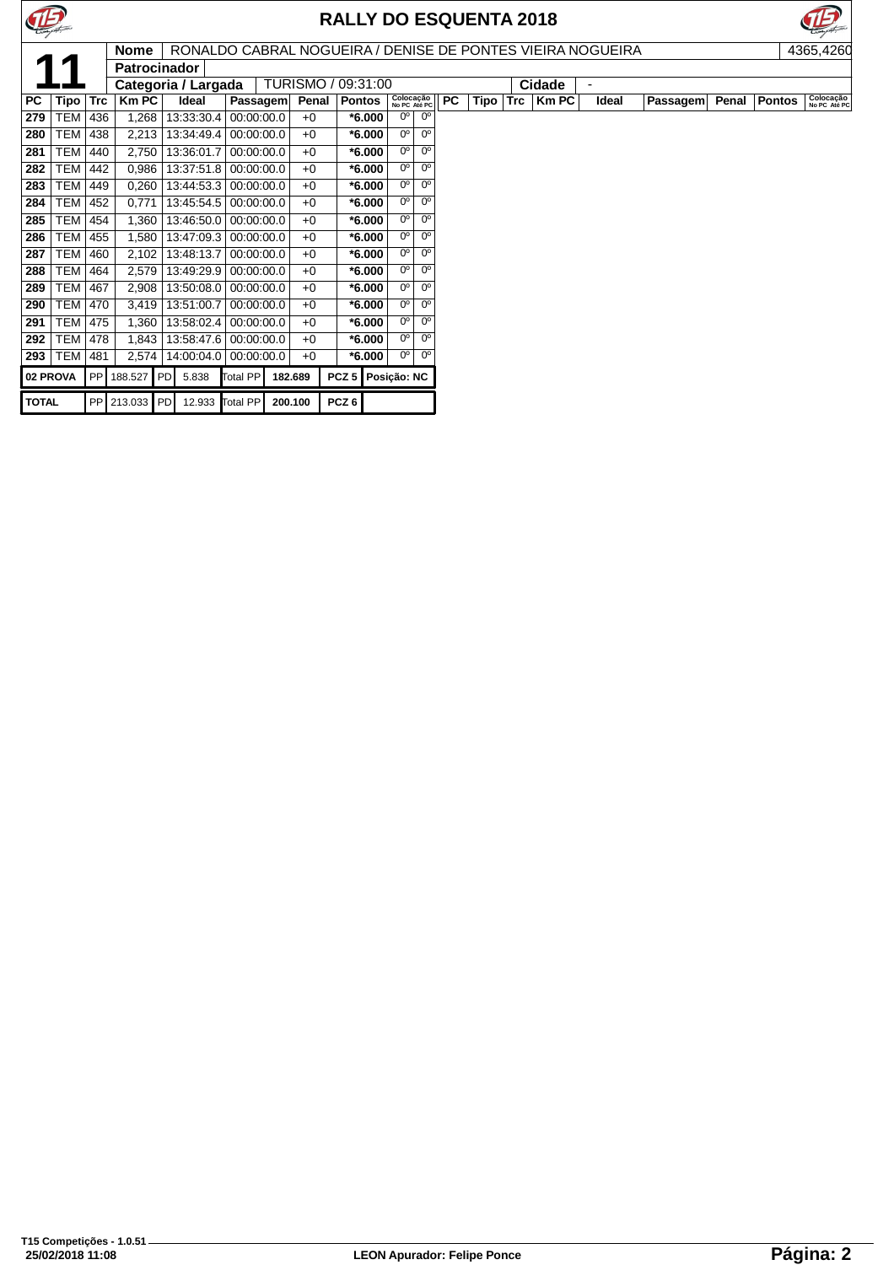



|              |            |            | <b>Nome</b>         |                     |            |         |                    |                           |                        |           |      |            | RONALDO CABRAL NOGUEIRA / DENISE DE PONTES VIEIRA NOGUEIRA |                |          |       |        | 4365,4260                 |
|--------------|------------|------------|---------------------|---------------------|------------|---------|--------------------|---------------------------|------------------------|-----------|------|------------|------------------------------------------------------------|----------------|----------|-------|--------|---------------------------|
|              |            |            | <b>Patrocinador</b> |                     |            |         |                    |                           |                        |           |      |            |                                                            |                |          |       |        |                           |
|              |            |            |                     | Categoria / Largada |            |         | TURISMO / 09:31:00 |                           |                        |           |      |            | Cidade                                                     | $\blacksquare$ |          |       |        |                           |
| PC           | Tipo       | <b>Trc</b> | <b>Km PC</b>        | Ideal               | Passagem   | Penal   | <b>Pontos</b>      | Colocação<br>No PC Até PC |                        | <b>PC</b> | Tipo | <b>Trc</b> | <b>Km PC</b>                                               | Ideal          | Passagem | Penal | Pontos | Colocação<br>No PC Até PC |
| 279          | <b>TEM</b> | 436        | 1,268               | 13:33:30.4          | 00:00:00.0 | $+0$    | $*6.000$           | $\overline{0^{\circ}}$    | $\overline{0^{\circ}}$ |           |      |            |                                                            |                |          |       |        |                           |
| 280          | <b>TEM</b> | 438        | 2,213               | 13:34:49.4          | 00:00:00.0 | $+0$    | $*6.000$           | 0 <sup>o</sup>            | 0 <sup>o</sup>         |           |      |            |                                                            |                |          |       |        |                           |
| 281          | TEM        | 440        | 2,750               | 13:36:01.7          | 00:00:00.0 | $+0$    | $*6.000$           | 0°                        | $0^{\circ}$            |           |      |            |                                                            |                |          |       |        |                           |
| 282          | <b>TEM</b> | 442        | 0,986               | 13:37:51.8          | 00:00:00.0 | $+0$    | $*6.000$           | 0 <sup>o</sup>            | 0 <sup>o</sup>         |           |      |            |                                                            |                |          |       |        |                           |
| 283          | <b>TEM</b> | 449        | 0,260               | 13:44:53.3          | 00:00:00.0 | $+0$    | $*6.000$           | 0°                        | $0^{\circ}$            |           |      |            |                                                            |                |          |       |        |                           |
| 284          | <b>TEM</b> | 452        | 0,771               | 13:45:54.5          | 00:00:00.0 | $+0$    | $*6.000$           | $0^{\circ}$               | $0^{\circ}$            |           |      |            |                                                            |                |          |       |        |                           |
| 285          | <b>TEM</b> | 454        | 1,360               | 13:46:50.0          | 00:00:00.0 | $+0$    | $*6.000$           | 0°                        | $0^{\circ}$            |           |      |            |                                                            |                |          |       |        |                           |
| 286          | <b>TEM</b> | 455        | 1,580               | 13:47:09.3          | 00:00:00.0 | $+0$    | $*6.000$           | 0°                        | $0^{\circ}$            |           |      |            |                                                            |                |          |       |        |                           |
| 287          | TEM        | 460        | 2,102               | 13:48:13.7          | 00:00:00.0 | $+0$    | $*6.000$           | 0 <sup>o</sup>            | $0^{\circ}$            |           |      |            |                                                            |                |          |       |        |                           |
| 288          | <b>TEM</b> | 464        | 2,579               | 13:49:29.9          | 00:00:00.0 | $+0$    | $*6.000$           | 0°                        | $0^{\circ}$            |           |      |            |                                                            |                |          |       |        |                           |
| 289          | TEM        | 467        | 2,908               | 13:50:08.0          | 00:00:00.0 | $+0$    | $*6.000$           | $0^{\circ}$               | $0^{\circ}$            |           |      |            |                                                            |                |          |       |        |                           |
| 290          | <b>TEM</b> | 470        | 3,419               | 13:51:00.7          | 00:00:00.0 | $+0$    | $*6.000$           | 0°                        | 0 <sup>o</sup>         |           |      |            |                                                            |                |          |       |        |                           |
| 291          | TEM        | 475        | 1,360               | 13:58:02.4          | 00:00:00.0 | $+0$    | $*6.000$           | $0^{\circ}$               | $0^{\circ}$            |           |      |            |                                                            |                |          |       |        |                           |
| 292          | TEM        | 478        | 1,843               | 13:58:47.6          | 00:00:00.0 | $+0$    | $*6.000$           | $0^{\circ}$               | 0°                     |           |      |            |                                                            |                |          |       |        |                           |
| 293          | <b>TEM</b> | 481        | 2,574               | 14:00:04.0          | 00:00:00.0 | $+0$    | $*6.000$           | $0^{\circ}$               | $0^{\circ}$            |           |      |            |                                                            |                |          |       |        |                           |
|              | 02 PROVA   |            | PP   188.527   PD   | 5.838               | Total PP   | 182.689 | PCZ <sub>5</sub>   | Posição: NC               |                        |           |      |            |                                                            |                |          |       |        |                           |
| <b>TOTAL</b> |            |            | PP 213.033 PD       | 12.933 Total PP     |            | 200.100 | PCZ <sub>6</sub>   |                           |                        |           |      |            |                                                            |                |          |       |        |                           |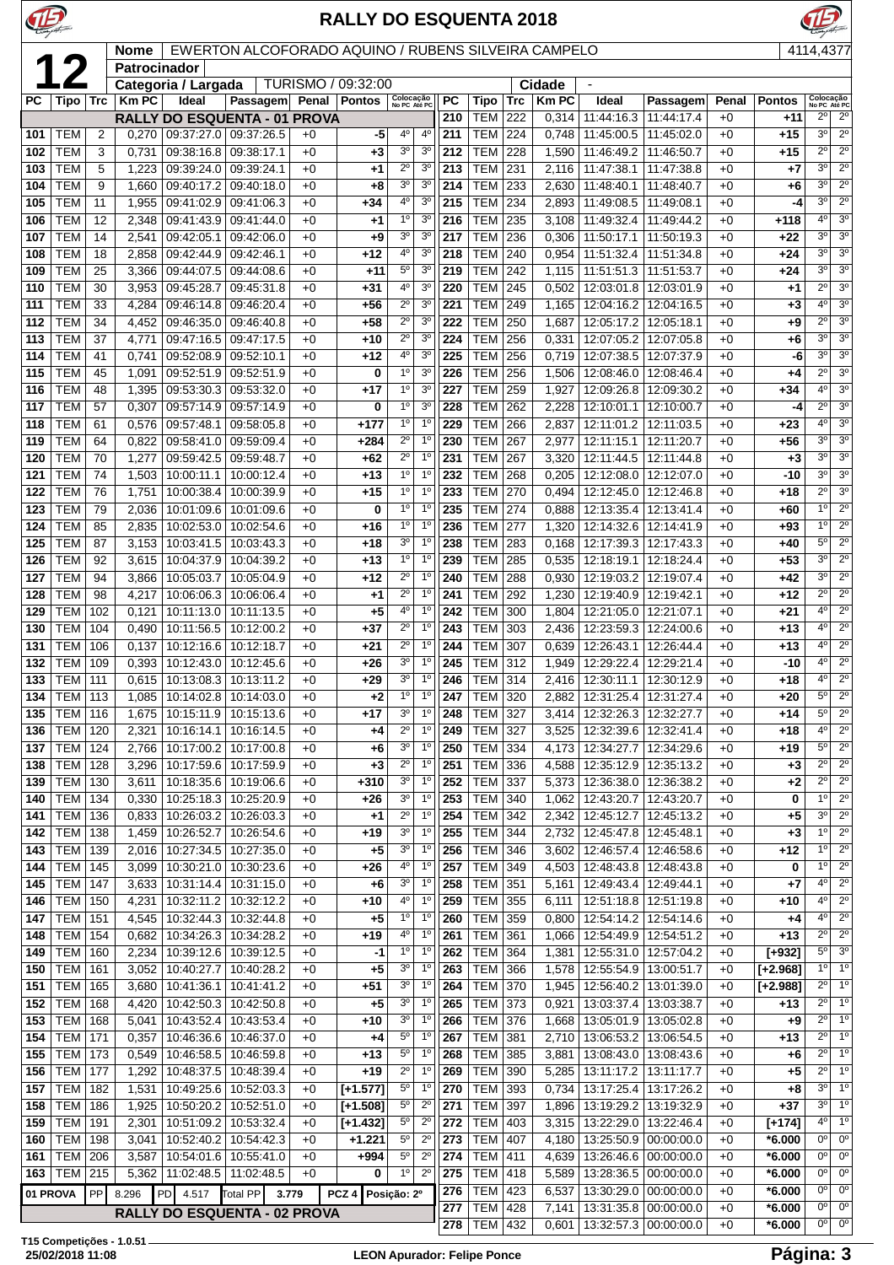

**T15 Competições - 1.0.51**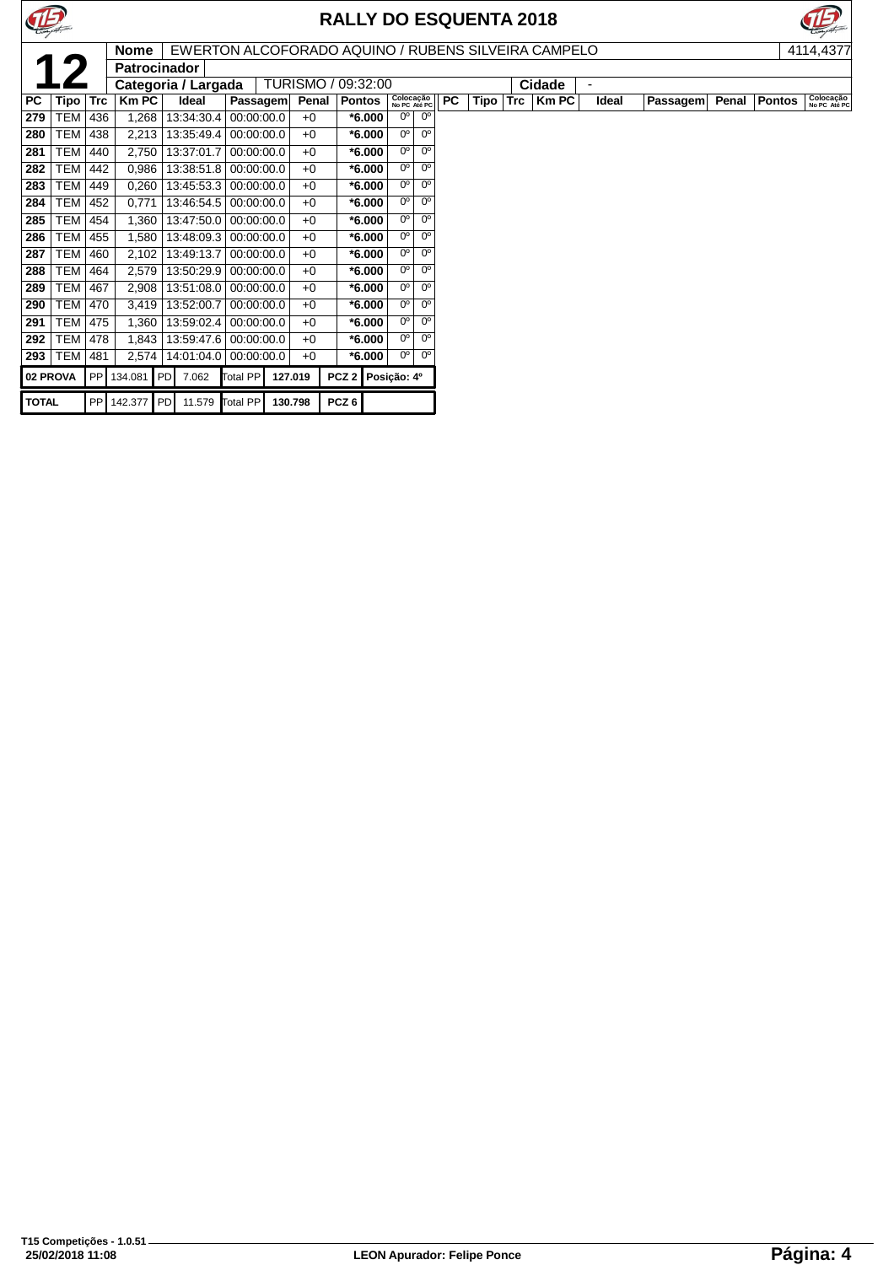



|              |            |            | <b>Nome</b>         |                     |            |            |         |                    |                   |                           |                |           |      |            | EWERTON ALCOFORADO AQUINO / RUBENS SILVEIRA CAMPELO |                          |          |       |               | 4114,4377                 |
|--------------|------------|------------|---------------------|---------------------|------------|------------|---------|--------------------|-------------------|---------------------------|----------------|-----------|------|------------|-----------------------------------------------------|--------------------------|----------|-------|---------------|---------------------------|
|              |            |            | <b>Patrocinador</b> |                     |            |            |         |                    |                   |                           |                |           |      |            |                                                     |                          |          |       |               |                           |
|              |            |            |                     | Categoria / Largada |            |            |         | TURISMO / 09:32:00 |                   |                           |                |           |      |            | Cidade                                              | $\overline{\phantom{0}}$ |          |       |               |                           |
| PC           | Tipo       | <b>Trc</b> | $Km$ PC             | Ideal               |            | Passagem   | Penal   | <b>Pontos</b>      |                   | Colocação<br>No PC Até PC |                | <b>PC</b> | Tipo | <b>Trc</b> | <b>Km PC</b>                                        | Ideal                    | Passagem | Penal | <b>Pontos</b> | Colocação<br>No PC Até PC |
| 279          | <b>TEM</b> | 436        | 1,268               | 13:34:30.4          |            | 00:00:00.0 | $+0$    | $*6.000$           |                   | 0°                        | n°             |           |      |            |                                                     |                          |          |       |               |                           |
| 280          | <b>TEM</b> | 438        | 2,213               | 13:35:49.4          |            | 00:00:00.0 | $+0$    | $*6.000$           |                   | $0^{\circ}$               | $0^{\rm o}$    |           |      |            |                                                     |                          |          |       |               |                           |
| 281          | <b>TEM</b> | 440        | 2,750               | 13:37:01.7          |            | 00:00:00.0 | $+0$    | $*6.000$           |                   | 0°                        | 0°             |           |      |            |                                                     |                          |          |       |               |                           |
| 282          | <b>TEM</b> | 442        | 0,986               | 13:38:51.8          |            | 00:00:00.0 | $+0$    | $*6.000$           |                   | 0 <sup>o</sup>            | 0°             |           |      |            |                                                     |                          |          |       |               |                           |
| 283          | <b>TEM</b> | 449        | 0,260               | 13:45:53.3          | 00:00:00.0 |            | $+0$    | $*6.000$           |                   | 0 <sup>o</sup>            | 0 <sup>o</sup> |           |      |            |                                                     |                          |          |       |               |                           |
| 284          | <b>TEM</b> | 452        | 0,771               | 13:46:54.5          |            | 00:00:00.0 | $+0$    | $*6.000$           |                   | n°                        | 0 <sup>o</sup> |           |      |            |                                                     |                          |          |       |               |                           |
| 285          | <b>TEM</b> | 454        | 1,360               | 13:47:50.0          |            | 00:00:00.0 | $+0$    | $*6.000$           |                   | $0^{\circ}$               | $0^{\circ}$    |           |      |            |                                                     |                          |          |       |               |                           |
| 286          | <b>TEM</b> | 455        | 1,580               | 13:48:09.3          |            | 00:00:00.0 | $+0$    | $*6.000$           |                   | 0 <sup>o</sup>            | 0°             |           |      |            |                                                     |                          |          |       |               |                           |
| 287          | <b>TEM</b> | 460        | 2,102               | 13:49:13.7          |            | 00:00:00.0 | $+0$    | $*6.000$           |                   | $\overline{0^{\circ}}$    | 0 <sup>o</sup> |           |      |            |                                                     |                          |          |       |               |                           |
| 288          | <b>TEM</b> | 464        | 2,579               | 13:50:29.9          |            | 00:00:00.0 | $+0$    | $*6.000$           |                   | $0^{\circ}$               | $0^{\rm o}$    |           |      |            |                                                     |                          |          |       |               |                           |
| 289          | <b>TEM</b> | 467        | 2,908               | 13:51:08.0          |            | 00:00:00.0 | $+0$    | $*6.000$           |                   | 0 <sup>o</sup>            | $0^{\circ}$    |           |      |            |                                                     |                          |          |       |               |                           |
| 290          | <b>TEM</b> | 470        | 3,419               | 13:52:00.7          |            | 00:00:00.0 | $+0$    | $*6.000$           |                   | $0^{\circ}$               | $0^{\circ}$    |           |      |            |                                                     |                          |          |       |               |                           |
| 291          | <b>TEM</b> | 475        | 1,360               | 13:59:02.4          |            | 00:00:00.0 | $+0$    | $*6.000$           |                   | 0 <sup>o</sup>            | 0°             |           |      |            |                                                     |                          |          |       |               |                           |
| 292          | <b>TEM</b> | 478        | 1,843               | 13:59:47.6          | 00:00:00.0 |            | $+0$    | $*6.000$           |                   | 0°                        | 0°             |           |      |            |                                                     |                          |          |       |               |                           |
| 293          | TEM        | 481        | 2,574               | 14:01:04.0          |            | 00:00:00.0 | $+0$    | $*6.000$           |                   | 0°                        | $0^{\circ}$    |           |      |            |                                                     |                          |          |       |               |                           |
|              | 02 PROVA   |            | PP 134.081 PD       | 7.062               | Total PP   |            | 127.019 |                    | PCZ 2 Posição: 4º |                           |                |           |      |            |                                                     |                          |          |       |               |                           |
| <b>TOTAL</b> |            |            | PP 142.377 PD       | 11.579              | Total PP   |            | 130.798 | PCZ <sub>6</sub>   |                   |                           |                |           |      |            |                                                     |                          |          |       |               |                           |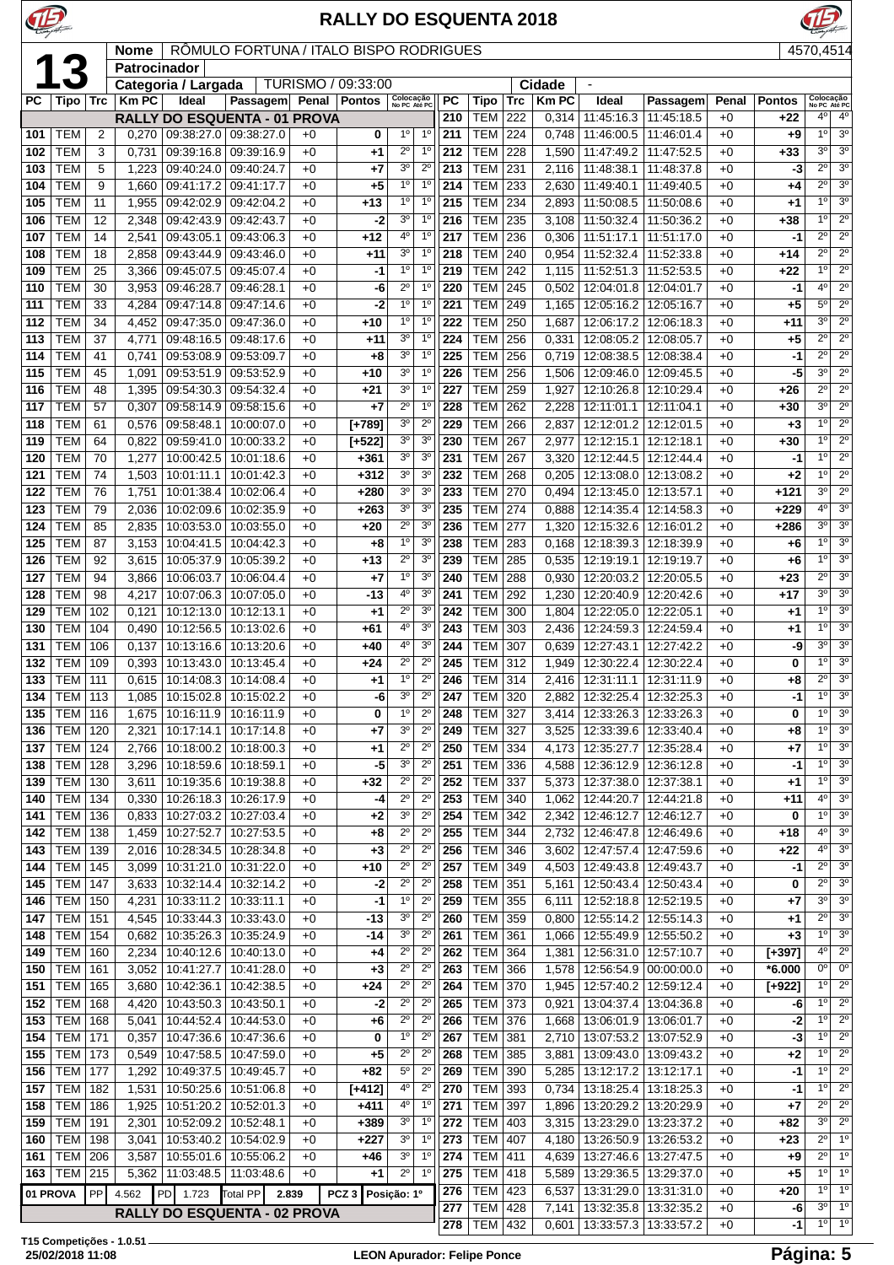|            |                                  | <b>RALLY DO ESQUENTA 2018</b><br>RÔMULO FORTUNA / ITALO BISPO RODRIGUES<br><b>Nome</b> |                |                                                       |                          |              |                    |                                     |                                  |            |                          |                   |                       |                                  |                                                    |               |                |                                          |                                  |
|------------|----------------------------------|----------------------------------------------------------------------------------------|----------------|-------------------------------------------------------|--------------------------|--------------|--------------------|-------------------------------------|----------------------------------|------------|--------------------------|-------------------|-----------------------|----------------------------------|----------------------------------------------------|---------------|----------------|------------------------------------------|----------------------------------|
|            | 13                               |                                                                                        | Patrocinador   |                                                       |                          |              |                    |                                     |                                  |            |                          |                   |                       |                                  |                                                    |               |                | 4570,4514                                |                                  |
|            |                                  |                                                                                        |                | Categoria / Largada                                   |                          |              | TURISMO / 09:33:00 |                                     |                                  |            |                          |                   | <b>Cidade</b>         |                                  |                                                    |               |                |                                          |                                  |
| PC         | Tipo                             | <b>Trc</b>                                                                             | <b>Km PC</b>   | Ideal                                                 | Passagem                 | Penal        | <b>Pontos</b>      |                                     | Colocação<br>No PC Até PC        | <b>PC</b>  | Tipo<br>TEM              | <b>Trc</b><br>222 | <b>Km PC</b><br>0,314 | Ideal<br>11:45:16.3              | Passagem<br>11:45:18.5                             | Penal<br>$+0$ | <b>Pontos</b>  | Colocação<br>No PC Até PC<br>$4^{\circ}$ | $4^{\circ}$                      |
| 101        | <b>TEM</b>                       | $\overline{2}$                                                                         | 0,270          | RALLY DO ESQUENTA - 01 PROVA<br>09:38:27.0 09:38:27.0 |                          | $+0$         | 0                  | $1^{\circ}$                         | $1^{\circ}$                      | 210<br>211 | <b>TEM</b>               | 224               | 0,748                 | 11:46:00.5                       | 11:46:01.4                                         | $+0$          | +22<br>+9      | 1°                                       | 3 <sup>o</sup>                   |
| 102        | <b>TEM</b>                       | 3                                                                                      | 0,731          | 09:39:16.8                                            | 09:39:16.9               | $+0$         | $+1$               | $2^{\circ}$                         | 1 <sup>0</sup>                   | 212        | <b>TEM</b>               | 228               | 1,590                 | 11:47:49.2                       | 11:47:52.5                                         | $+0$          | $+33$          | 3 <sup>o</sup>                           | 3 <sup>o</sup>                   |
| 103        | <b>TEM</b>                       | 5                                                                                      | 1,223          | 09:40:24.0                                            | 09:40:24.7               | $+0$         | $+7$               | 3 <sup>o</sup>                      | $2^{\circ}$                      | 213        | <b>TEM</b>               | 231               | 2,116                 | 11:48:38.1                       | 11:48:37.8                                         | $+0$          | -3             | $2^{\circ}$                              | 3 <sup>0</sup>                   |
| 104        | <b>TEM</b>                       | 9                                                                                      | 1,660          | 09:41:17.2                                            | 09:41:17.7               | $+0$         | $+5$               | 1 <sup>°</sup>                      | 1 <sup>0</sup>                   | 214        | <b>TEM</b>               | 233               | 2,630                 | 11:49:40.1                       | 11:49:40.5                                         | $+0$          | $+4$           | $2^{\circ}$<br>1 <sup>0</sup>            | 3 <sup>0</sup>                   |
| 105<br>106 | <b>TEM</b><br><b>TEM</b>         | 11<br>12                                                                               | 1,955<br>2,348 | 09:42:02.9<br>09:42:43.9                              | 09:42:04.2<br>09:42:43.7 | $+0$<br>$+0$ | $+13$<br>-2        | $1^{\circ}$<br>3 <sup>0</sup>       | $1^{\circ}$<br>1 <sup>0</sup>    | 215<br>216 | <b>TEM</b><br><b>TEM</b> | 234<br>235        | 2,893<br>3,108        | 11:50:08.5<br>11:50:32.4         | 11:50:08.6<br>11:50:36.2                           | $+0$<br>$+0$  | +1<br>$+38$    | 1 <sup>0</sup>                           | 3 <sup>o</sup><br>$2^{\circ}$    |
| 107        | <b>TEM</b>                       | 14                                                                                     | 2,541          | 09:43:05.1                                            | 09:43:06.3               | $+0$         | +12                | 40                                  | $1^{\circ}$                      | 217        | <b>TEM</b>               | 236               | 0,306                 | 11:51:17.1                       | 11:51:17.0                                         | $+0$          | $-1$           | $2^{\circ}$                              | $2^{\circ}$                      |
| 108        | <b>TEM</b>                       | 18                                                                                     | 2,858          | 09:43:44.9                                            | 09:43:46.0               | $+0$         | $+11$              | 3 <sup>o</sup>                      | 1 <sup>0</sup>                   | 218        | <b>TEM</b>               | 240               | 0,954                 | 11:52:32.4                       | 11:52:33.8                                         | $+0$          | $+14$          | $2^{\circ}$                              | $2^{\circ}$                      |
| 109        | <b>TEM</b>                       | 25                                                                                     | 3,366          | 09:45:07.5                                            | 09:45:07.4               | $+0$         | -1                 | 1 <sup>o</sup>                      | $1^{\circ}$                      | 219        | <b>TEM</b>               | 242               | 1,115                 | 11:52:51.3                       | 11:52:53.5                                         | $+0$          | +22            | 1 <sup>°</sup>                           | $\overline{2^0}$                 |
| 110        | <b>TEM</b><br><b>TEM</b>         | 30<br>33                                                                               | 3,953          | 09:46:28.7                                            | 09:46:28.1               | $+0$<br>$+0$ |                    | $2^{\circ}$<br>-6<br>1 <sup>0</sup> | 1 <sup>0</sup><br>$1^{\circ}$    | 220<br>221 | <b>TEM</b><br><b>TEM</b> | 245               | 0,502                 | 12:04:01.8                       | 12:04:01.7                                         | $+0$          | -1             | $4^{\circ}$<br>5 <sup>o</sup>            | $2^{\circ}$<br>$2^{\circ}$       |
| 111<br>112 | <b>TEM</b>                       | 34                                                                                     | 4,284<br>4,452 | 09:47:14.8<br>09:47:35.0                              | 09:47:14.6<br>09:47:36.0 | $+0$         | +10                | -2<br>$1^{\circ}$                   | 1 <sup>0</sup>                   | 222        | <b>TEM</b>               | 249<br>250        | 1,165<br>1,687        | 12:05:16.2<br>12:06:17.2         | 12:05:16.7<br>12:06:18.3                           | $+0$<br>$+0$  | $+5$<br>$+11$  | 3 <sup>0</sup>                           | $\overline{2^0}$                 |
| 113        | <b>TEM</b>                       | 37                                                                                     | 4,771          | 09:48:16.5                                            | 09:48:17.6               | $+0$         | $+11$              | 3 <sup>o</sup>                      | 1 <sup>0</sup>                   | 224        | <b>TEM</b>               | 256               | 0,331                 | 12:08:05.2                       | 12:08:05.7                                         | $+0$          | $+5$           | $2^{\circ}$                              | $\overline{2^0}$                 |
| 114        | <b>TEM</b>                       | 41                                                                                     | 0,741          | 09:53:08.9                                            | 09:53:09.7               | $+0$         | $+8$               | 3 <sup>o</sup>                      | $1^{\circ}$                      | 225        | <b>TEM</b>               | 256               | 0,719                 | 12:08:38.5                       | 12:08:38.4                                         | $+0$          | $-1$           | $2^{\circ}$                              | $2^{\circ}$                      |
| 115        | <b>TEM</b>                       | 45                                                                                     | 1,091          | 09:53:51.9                                            | 09:53:52.9               | $+0$         | +10                | 30                                  | $1^{\circ}$                      | 226        | <b>TEM</b>               | 256               | 1,506                 | 12:09:46.0                       | 12:09:45.5                                         | $+0$          | -5             | 3 <sup>o</sup>                           | $2^{\circ}$                      |
| 116<br>117 | <b>TEM</b><br><b>TEM</b>         | 48<br>57                                                                               | 1,395          | 09:54:30.3                                            | 09:54:32.4               | $+0$         | +21<br>$+7$        | 3 <sup>o</sup><br>$\overline{2^0}$  | $1^{\circ}$<br>1 <sup>0</sup>    | 227<br>228 | <b>TEM</b><br><b>TEM</b> | 259<br>262        | 1,927                 | 12:10:26.8                       | 12:10:29.4                                         | $+0$          | +26            | $2^{\circ}$<br>$3^{\circ}$               | $2^{\circ}$<br>$\overline{2^0}$  |
| 118        | <b>TEM</b>                       | 61                                                                                     | 0,307<br>0,576 | 09:58:14.9<br>09:58:48.1                              | 09:58:15.6<br>10:00:07.0 | $+0$<br>$+0$ | $[+789]$           | 3 <sup>o</sup>                      | $2^{\circ}$                      | 229        | <b>TEM</b>               | 266               | 2,228<br>2,837        | 12:11:01.1<br>12:12:01.2         | 12:11:04.1<br>12:12:01.5                           | $+0$<br>$+0$  | $+30$<br>$+3$  | 1 <sup>0</sup>                           | $2^{\circ}$                      |
| 119        | <b>TEM</b>                       | 64                                                                                     | 0,822          | 09:59:41.0 10:00:33.2                                 |                          | $+0$         | $[+522]$           | 3 <sup>o</sup>                      | 3 <sup>o</sup>                   | 230        | <b>TEM</b>               | 267               | 2,977                 | 12:12:15.1                       | 12:12:18.1                                         | $+0$          | $+30$          | 1 <sup>0</sup>                           | $2^{\circ}$                      |
| 120        | <b>TEM</b>                       | 70                                                                                     | 1,277          | 10:00:42.5                                            | 10:01:18.6               | $+0$         | +361               | 3 <sup>o</sup>                      | 3 <sup>o</sup>                   | 231        | <b>TEM</b>               | 267               | 3,320                 | 12:12:44.5                       | 12:12:44.4                                         | $+0$          | -1             | 10                                       | $2^{\circ}$                      |
| 121        | <b>TEM</b>                       | 74                                                                                     | 1,503          | 10:01:11.1                                            | 10:01:42.3               | +0           | $+312$             | 3 <sup>o</sup>                      | 3 <sup>o</sup>                   | 232        | <b>TEM</b>               | 268               | 0,205                 | 12:13:08.0                       | 12:13:08.2                                         | $+0$          | $+2$           | $1^{\circ}$                              | $\overline{2^0}$                 |
| 122        | <b>TEM</b>                       | 76                                                                                     | 1,751          | 10:01:38.4                                            | 10:02:06.4               | $+0$         | $+280$             | 3 <sup>o</sup><br>3 <sup>0</sup>    | 3 <sup>o</sup>                   | 233        | <b>TEM</b>               | 270               | 0,494                 | 12:13:45.0                       | 12:13:57.1                                         | $+0$          | $+121$         | 3 <sup>o</sup><br>4°                     | $\overline{2^0}$                 |
| 123<br>124 | <b>TEM</b><br><b>TEM</b>         | 79<br>85                                                                               | 2,036<br>2,835 | 10:02:09.6<br>10:03:53.0                              | 10:02:35.9<br>10:03:55.0 | +0<br>$+0$   | $+263$<br>+20      | $2^{\circ}$                         | 3 <sup>o</sup><br>3 <sup>o</sup> | 235<br>236 | TEM<br><b>TEM</b>        | 274<br>277        | 0,888<br>1,320        | 12:14:35.4<br>12:15:32.6         | 12:14:58.3<br>12:16:01.2                           | $+0$<br>$+0$  | $+229$<br>+286 | 3 <sup>0</sup>                           | 3 <sup>o</sup><br>3 <sup>0</sup> |
| 125        | <b>TEM</b>                       | 87                                                                                     | 3,153          | 10:04:41.5                                            | 10:04:42.3               | $+0$         | $+8$               | 1 <sup>0</sup>                      | 3 <sup>o</sup>                   | 238        | TEM                      | 283               | 0,168                 | 12:18:39.3                       | 12:18:39.9                                         | $+0$          | +6             | 1 <sup>0</sup>                           | 3 <sup>o</sup>                   |
| 126        | <b>TEM</b>                       | 92                                                                                     | 3,615          | 10:05:37.9                                            | 10:05:39.2               | $+0$         | +13                | $2^{\circ}$                         | 3 <sup>o</sup>                   | 239        | <b>TEM</b>               | 285               | 0,535                 | 12:19:19.1                       | 12:19:19.7                                         | $+0$          | $+6$           | 1°                                       | 3 <sup>o</sup>                   |
| 127        | <b>TEM</b>                       | 94                                                                                     | 3,866          | 10:06:03.7                                            | 10:06:04.4               | $+0$         | $+7$               | 1 <sup>0</sup>                      | 3 <sup>o</sup>                   | 240        | TEM                      | 288               | 0,930                 | 12:20:03.2                       | 12:20:05.5                                         | $+0$          | $+23$          | $2^{\circ}$                              | 3 <sup>0</sup>                   |
| 128        | <b>TEM</b>                       | 98                                                                                     | 4,217          | 10:07:06.3 10:07:05.0                                 |                          | $+0$         | -13                | 4°                                  | 3 <sup>o</sup>                   | 241        | <b>TEM</b>               | 292               | 1,230                 | 12:20:40.9                       | 12:20:42.6                                         | $+0$          | +17            | 3 <sup>0</sup>                           | 3 <sup>o</sup>                   |
| 129<br>130 | <b>TEM</b><br><b>TEM</b>         | 102<br>104                                                                             | 0,121<br>0,490 | 10:12:13.0<br>10:12:56.5                              | 10:12:13.1<br>10:13:02.6 | $+0$<br>$+0$ | $+1$<br>+61        | $\overline{2^0}$<br>40              | 3 <sup>o</sup><br>3 <sup>o</sup> | 242<br>243 | <b>TEM</b><br><b>TEM</b> | 300<br>303        | 1,804<br>2,436        | 12:22:05.0<br>12:24:59.3         | 12:22:05.1<br>12:24:59.4                           | $+0$<br>$+0$  | +1<br>+1       | 1 <sup>°</sup><br>1 <sup>0</sup>         | 3 <sup>0</sup><br>3 <sup>o</sup> |
| 131        | TEM                              | 106                                                                                    | 0,137          | 10:13:16.6                                            | 10:13:20.6               | $+0$         | +40                | 4 <sup>0</sup>                      | 3 <sup>o</sup>                   | 244        | <b>TEM</b>               | 307               | 0,639                 | 12:27:43.1                       | 12:27:42.2                                         | $+0$          | -9             | 3 <sup>0</sup>                           | 3 <sup>0</sup>                   |
| 132        | <b>TEM</b>                       | 109                                                                                    | 0,393          | 10:13:43.0   10:13:45.4                               |                          | $+0$         | +24                | $2^{\circ}$                         | $2^{\circ}$                      | 245        | TEM                      | 312               | 1,949                 | 12:30:22.4                       | 12:30:22.4                                         | $+0$          | 0              | 1 <sup>0</sup>                           | 3 <sup>o</sup>                   |
|            | 133   TEM   111                  |                                                                                        |                | 0,615   10:14:08.3   10:14:08.4                       |                          | $+0$         | +1                 | $1^{\circ}$                         | $2^{\circ}$                      | 246        | <b>TEM 314</b>           |                   |                       | 2,416   12:31:11.1   12:31:11.9  |                                                    | $+0$          | +8             | $2^{\circ}$                              | 3 <sup>o</sup>                   |
| 134        | <b>TEM 113</b>                   |                                                                                        | 1,085          | 10:15:02.8 10:15:02.2                                 |                          | $+0$         |                    | 3 <sup>o</sup><br>-6                | $2^{\circ}$                      | 247        | <b>TEM</b>               | 320               | 2,882                 | 12:32:25.4                       | 12:32:25.3                                         | +0            | $-1$           | 1 <sup>0</sup>                           | 3 <sup>o</sup>                   |
| 135<br>136 | <b>TEM 116</b><br><b>TEM 120</b> |                                                                                        | 1,675<br>2,321 | 10:16:11.9   10:16:11.9<br>10:17:14.1   10:17:14.8    |                          | $+0$<br>$+0$ | 0<br>+7            | $1^{\circ}$<br>3 <sup>o</sup>       | $2^{\circ}$<br>$2^{\circ}$       | 248<br>249 | <b>TEM</b><br><b>TEM</b> | 327<br>327        | 3,414                 |                                  | 12:33:26.3   12:33:26.3<br>12:33:39.6   12:33:40.4 | $+0$<br>$+0$  | 0<br>+8        | 10<br>10                                 | 3 <sup>o</sup><br>3 <sup>o</sup> |
| 137        | TEM                              | 124                                                                                    | 2,766          | 10:18:00.2 10:18:00.3                                 |                          | $+0$         | +1                 | $2^{\circ}$                         | $2^{\circ}$                      | 250        | TEM                      | 334               | 3,525                 | 4,173 12:35:27.7                 | 12:35:28.4                                         | $+0$          | $+7$           | 1°                                       | 3 <sup>o</sup>                   |
| 138        | <b>TEM</b>                       | 128                                                                                    | 3,296          | 10:18:59.6   10:18:59.1                               |                          | $+0$         | $-5$               | 3 <sup>o</sup>                      | $2^{\circ}$                      | 251        | <b>TEM</b>               | 336               | 4,588                 | 12:36:12.9                       | 12:36:12.8                                         | $+0$          | $-1$           | 1 <sup>°</sup>                           | 3 <sup>o</sup>                   |
| 139        | TEM                              | 130                                                                                    | 3,611          | 10:19:35.6 10:19:38.8                                 |                          | $+0$         | +32                | $2^{\circ}$                         | $2^{\circ}$                      | 252        | <b>TEM</b>               | 337               | 5,373                 | 12:37:38.0                       | 12:37:38.1                                         | +0            | +1             | $1^{\circ}$                              | 3 <sup>o</sup>                   |
| 140        | <b>TEM</b>                       | 134                                                                                    | 0,330          | 10:26:18.3 10:26:17.9                                 |                          | $+0$         | $-4$               | $2^{\circ}$                         | $2^{\circ}$                      | 253        | <b>TEM</b>               | 340               | 1,062                 | 12:44:20.7                       | 12:44:21.8                                         | +0            | $+11$          | $4^{\circ}$                              | 3 <sup>o</sup>                   |
| 141<br>142 | <b>TEM</b><br>TEM                | 136<br>138                                                                             | 0,833<br>1,459 | 10:27:03.2 10:27:03.4<br>10:27:52.7   10:27:53.5      |                          | $+0$<br>$+0$ | +2<br>+8           | 3 <sup>o</sup><br>$2^{\circ}$       | $2^{\circ}$<br>$2^{\circ}$       | 254<br>255 | <b>TEM</b><br><b>TEM</b> | 342<br>344        | 2,342<br>2,732        | 12:46:12.7                       | 12:46:12.7<br>12:46:47.8 12:46:49.6                | $+0$<br>$+0$  | 0<br>+18       | 1 <sup>°</sup><br>$4^{\circ}$            | 3 <sup>o</sup><br>3 <sup>o</sup> |
| 143        | <b>TEM</b>                       | 139                                                                                    | 2,016          | 10:28:34.5   10:28:34.8                               |                          | $+0$         | $+3$               | $2^{\circ}$                         | $2^{\circ}$                      | 256        | <b>TEM</b>               | 346               | 3,602                 | 12:47:57.4                       | 12:47:59.6                                         | $+0$          | +22            | $4^{\circ}$                              | 3 <sup>o</sup>                   |
| 144        | TEM                              | 145                                                                                    | 3,099          | 10:31:21.0 10:31:22.0                                 |                          | $+0$         | +10                | $2^{\circ}$                         | $2^{\circ}$                      | 257        | TEM                      | 349               |                       | 4,503 12:49:43.8                 | 12:49:43.7                                         | +0            | $-1$           | $2^{\circ}$                              | 3 <sup>o</sup>                   |
| 145        | <b>TEM 147</b>                   |                                                                                        | 3,633          | 10:32:14.4   10:32:14.2                               |                          | $+0$         | $-2$               | $2^{\circ}$                         | $2^{\circ}$                      | 258        | <b>TEM</b>               | 351               | 5,161                 |                                  | 12:50:43.4   12:50:43.4                            | $+0$          | 0              | $2^{\circ}$                              | 3 <sup>o</sup>                   |
| 146        | TEM                              | 150                                                                                    | 4,231          | 10:33:11.2   10:33:11.1                               |                          | $+0$         | $-1$               | 1 <sup>0</sup>                      | $2^{\circ}$                      | 259        | <b>TEM</b>               | 355               | 6,111                 |                                  | 12:52:18.8   12:52:19.5                            | $+0$          | $+7$           | $3^{\circ}$                              | 3 <sup>o</sup>                   |
| 147<br>148 | <b>TEM</b><br>TEM                | 151<br>154                                                                             | 4,545<br>0,682 | 10:33:44.3 10:33:43.0<br>10:35:26.3 10:35:24.9        |                          | $+0$<br>$+0$ | -13<br>-14         | 3 <sup>o</sup><br>3 <sup>o</sup>    | $2^{\circ}$<br>$2^{\circ}$       | 260<br>261 | <b>TEM</b><br><b>TEM</b> | 359<br>361        | 0,800<br>1,066        |                                  | 12:55:14.2   12:55:14.3<br>12:55:49.9 12:55:50.2   | $+0$<br>$+0$  | +1<br>$+3$     | $2^{\circ}$<br>1 <sup>0</sup>            | 3 <sup>o</sup><br>3 <sup>o</sup> |
| 149        | <b>TEM</b>                       | 160                                                                                    | 2,234          | 10:40:12.6 10:40:13.0                                 |                          | $+0$         | +4                 | $2^{\circ}$                         | $\overline{2^0}$                 | 262        | <b>TEM</b>               | 364               | 1,381                 | 12:56:31.0                       | 12:57:10.7                                         | $+0$          | $[+397]$       | $4^{\circ}$                              | $2^{\circ}$                      |
| 150        | <b>TEM</b>                       | 161                                                                                    | 3,052          | 10:41:27.7   10:41:28.0                               |                          | $+0$         | $+3$               | $2^{\circ}$                         | $2^{\circ}$                      | 263        | <b>TEM</b>               | 366               | 1,578                 | 12:56:54.9                       | 00:00:00.0                                         | $+0$          | $*6.000$       | 0 <sup>0</sup>                           | $0^{\circ}$                      |
| 151        | <b>TEM</b>                       | 165                                                                                    | 3,680          | 10:42:36.1   10:42:38.5                               |                          | $+0$         | $+24$              | $2^{\circ}$                         | $2^{\circ}$                      | 264        | TEM                      | 370               | 1,945                 |                                  | 12:57:40.2   12:59:12.4                            | $+0$          | $[+922]$       | $1^{\circ}$                              | $\overline{2^0}$                 |
| 152        | <b>TEM</b>                       | 168                                                                                    | 4,420          | 10:43:50.3   10:43:50.1                               |                          | $+0$         | $-2$               | $\overline{2^0}$<br>$2^{\circ}$     | $2^{\circ}$<br>$2^{\circ}$       | 265        | <b>TEM</b>               | 373               | 0,921                 | 13:04:37.4                       | 13:04:36.8                                         | $+0$          | -6             | $1^{\circ}$<br>1 <sup>0</sup>            | $2^{\circ}$<br>$\overline{2^0}$  |
| 153<br>154 | <b>TEM</b><br><b>TEM 171</b>     | 168                                                                                    | 5,041<br>0,357 | 10:44:52.4 10:44:53.0<br>10:47:36.6   10:47:36.6      |                          | $+0$<br>$+0$ | +6<br>0            | $1^{\circ}$                         | $\overline{2^0}$                 | 266<br>267 | <b>TEM</b><br><b>TEM</b> | 376<br>381        | 1,668                 | 13:06:01.9                       | 13:06:01.7<br>2,710   13:07:53.2   13:07:52.9      | $+0$<br>$+0$  | -2<br>$-3$     | 1 <sup>0</sup>                           | $2^{\circ}$                      |
| 155        | TEM                              | 173                                                                                    | 0,549          | 10:47:58.5   10:47:59.0                               |                          | $+0$         | $+5$               | $2^{\circ}$                         | $2^{\circ}$                      | 268        | TEM                      | 385               | 3,881                 |                                  | 13:09:43.0   13:09:43.2                            | $+0$          | $+2$           | 1 <sup>°</sup>                           | $2^{\circ}$                      |
| 156        | TEM                              | 177                                                                                    | 1,292          | 10:49:37.5   10:49:45.7                               |                          | $+0$         | +82                | $5^{\circ}$                         | $2^{\circ}$                      | 269        | <b>TEM</b>               | 390               | 5,285                 |                                  | 13:12:17.2   13:12:17.1                            | $+0$          | $-1$           | 1 <sup>0</sup>                           | $2^{\circ}$                      |
| 157        | TEM                              | 182                                                                                    | 1,531          | 10:50:25.6   10:51:06.8                               |                          | $+0$         | [+412]             | 4°                                  | $2^{\circ}$                      | 270        | <b>TEM</b>               | 393               | 0,734                 | 13:18:25.4                       | 13:18:25.3                                         | $+0$          | -1             | $1^{\circ}$                              | $\overline{2^0}$                 |
| 158        | <b>TEM</b>                       | 186                                                                                    | 1,925          | 10:51:20.2 10:52:01.3                                 |                          | $+0$         | +411               | $4^{\circ}$                         | 1 <sup>0</sup>                   | 271        | <b>TEM</b>               | 397               | 1,896                 | 13:20:29.2                       | 13:20:29.9                                         | $+0$          | $+7$           | $2^{\circ}$                              | $2^{\circ}$                      |
| 159<br>160 | TEM<br><b>TEM</b>                | 191<br>198                                                                             | 2,301<br>3,041 | 10:52:09.2   10:52:48.1<br>10:53:40.2   10:54:02.9    |                          | $+0$<br>$+0$ | +389<br>$+227$     | 3 <sup>o</sup><br>3 <sup>0</sup>    | $1^{\circ}$<br>$1^{\circ}$       | 272<br>273 | <b>TEM</b><br>TEM        | 403               |                       | 3,315   13:23:29.0<br>13:26:50.9 | 13:23:37.2<br>13:26:53.2                           | $+0$          | +82<br>+23     | $3^{\circ}$<br>$2^{\circ}$               | $2^{\circ}$<br>$1^{\circ}$       |
| 161        | <b>TEM</b>                       | 206                                                                                    | 3,587          | 10:55:01.6   10:55:06.2                               |                          | $+0$         | +46                | 3 <sup>o</sup>                      | $1^{\circ}$                      | 274        | <b>TEM</b>               | 407<br>411        | 4,180<br>4,639        | 13:27:46.6                       | 13:27:47.5                                         | $+0$<br>+0    | +9             | $2^{\circ}$                              | 1 <sup>o</sup>                   |
|            | 163   TEM   215                  |                                                                                        | 5,362          | 11:03:48.5   11:03:48.6                               |                          | $+0$         | $+1$               | $2^{\circ}$                         | $1^{\circ}$                      | 275        | <b>TEM</b>               | 418               | 5,589                 | 13:29:36.5                       | 13:29:37.0                                         | +0            | +5             | 10                                       | 1 <sup>o</sup>                   |
|            | 01 PROVA                         | <b>PP</b>                                                                              | 4.562          | PD<br>1.723                                           | Total PP                 | 2.839        | $PCZ$ 3            | Posição: 1º                         |                                  | 276        | <b>TEM</b>               | 423               | 6,537                 | 13:31:29.0                       | 13:31:31.0                                         | $+0$          | +20            | $1^{\circ}$                              | 1 <sup>o</sup>                   |
|            |                                  |                                                                                        |                | <b>RALLY DO ESQUENTA - 02 PROVA</b>                   |                          |              |                    |                                     |                                  | 277        | <b>TEM</b>               | 428               | 7,141                 | 13:32:35.8                       | 13:32:35.2                                         | $+0$          | $-6$           | 3 <sup>0</sup>                           | 1 <sup>o</sup>                   |
|            |                                  |                                                                                        |                |                                                       |                          |              |                    |                                     |                                  | 278        | TEM 432                  |                   | 0,601                 |                                  | 13:33:57.3 13:33:57.2                              | $+0$          | $-1$           | 1 <sup>0</sup>                           | 1 <sup>o</sup>                   |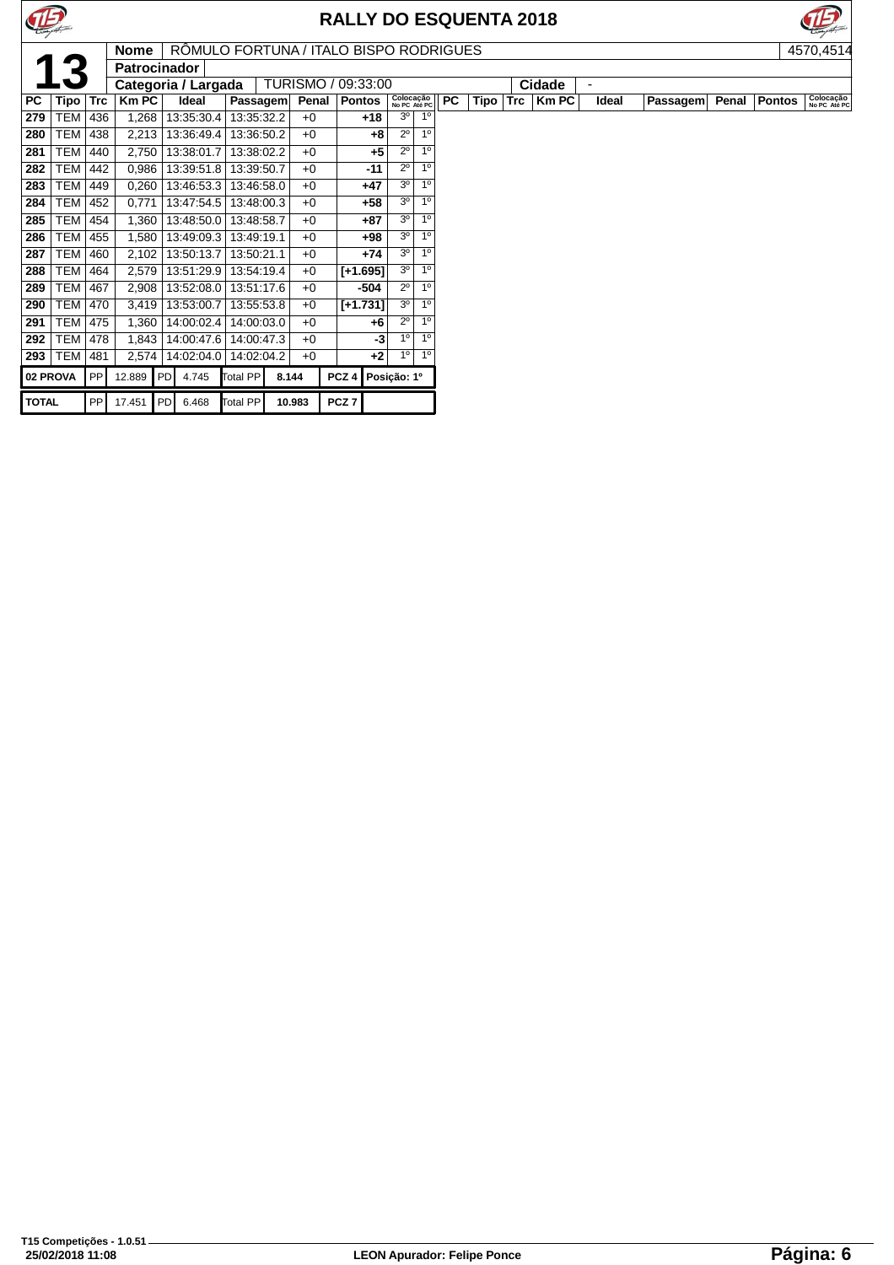



|              |            |            | <b>Nome</b>  | RÔMULO FORTUNA / ITALO BISPO RODRIGUES |                 |        |       |                    |                           |                |           |      |            |              |                          |          |       |               | 4570,4514                 |
|--------------|------------|------------|--------------|----------------------------------------|-----------------|--------|-------|--------------------|---------------------------|----------------|-----------|------|------------|--------------|--------------------------|----------|-------|---------------|---------------------------|
|              |            |            | Patrocinador |                                        |                 |        |       |                    |                           |                |           |      |            |              |                          |          |       |               |                           |
|              |            |            |              | Categoria / Largada                    |                 |        |       | TURISMO / 09:33:00 |                           |                |           |      |            | Cidade       | $\overline{\phantom{0}}$ |          |       |               |                           |
| PC           | Tipo       | <b>Trc</b> | $Km$ PC      | Ideal                                  | Passagem        |        | Penal | <b>Pontos</b>      | Colocação<br>No PC Até PC |                | <b>PC</b> | Tipo | <b>Trc</b> | <b>Km PC</b> | Ideal                    | Passagem | Penal | <b>Pontos</b> | Colocação<br>No PC Até PC |
| 279          | <b>TEM</b> | 436        | 1,268        | 13:35:30.4                             | 13:35:32.2      |        | $+0$  | $+18$              | 3 <sup>0</sup>            | 1 <sup>0</sup> |           |      |            |              |                          |          |       |               |                           |
| 280          | <b>TEM</b> | 438        | 2,213        | 13:36:49.4                             | 13:36:50.2      |        | $+0$  | $+8$               | $2^{\circ}$               | $1^{\circ}$    |           |      |            |              |                          |          |       |               |                           |
| 281          | <b>TEM</b> | 440        | 2,750        | 13:38:01.7                             | 13:38:02.2      |        | $+0$  | $+5$               | $2^{\circ}$               | 1 <sup>0</sup> |           |      |            |              |                          |          |       |               |                           |
| 282          | <b>TEM</b> | 442        | 0,986        | 13:39:51.8                             | 13:39:50.7      |        | $+0$  | $-11$              | $2^{\circ}$               | 1 <sup>0</sup> |           |      |            |              |                          |          |       |               |                           |
| 283          | <b>TEM</b> | 449        | 0,260        | 13:46:53.3                             | 13:46:58.0      |        | $+0$  | $+47$              | 3 <sup>o</sup>            | 1 <sup>0</sup> |           |      |            |              |                          |          |       |               |                           |
| 284          | <b>TEM</b> | 452        | 0,771        | 13:47:54.5                             | 13:48:00.3      |        | $+0$  | $+58$              | 3 <sup>o</sup>            | 1 <sup>0</sup> |           |      |            |              |                          |          |       |               |                           |
| 285          | <b>TEM</b> | 454        | 1,360        | 13:48:50.0                             | 13:48:58.7      |        | $+0$  | +87                | 3 <sup>o</sup>            | 1 <sup>0</sup> |           |      |            |              |                          |          |       |               |                           |
| 286          | <b>TEM</b> | 455        | 1,580        | 13:49:09.3                             | 13:49:19.1      |        | $+0$  | +98                | 3 <sup>o</sup>            | 1 <sup>0</sup> |           |      |            |              |                          |          |       |               |                           |
| 287          | <b>TEM</b> | 460        | 2,102        | 13:50:13.7                             | 13:50:21.1      |        | $+0$  | $+74$              | 3 <sup>o</sup>            | 1 <sup>0</sup> |           |      |            |              |                          |          |       |               |                           |
| 288          | <b>TEM</b> | 464        | 2,579        | 13:51:29.9                             | 13:54:19.4      |        | $+0$  | $[+1.695]$         | 3 <sup>o</sup>            | 1 <sup>0</sup> |           |      |            |              |                          |          |       |               |                           |
| 289          | <b>TEM</b> | 467        | 2,908        | 13:52:08.0                             | 13:51:17.6      |        | $+0$  | -504               | $2^{\circ}$               | 1 <sup>0</sup> |           |      |            |              |                          |          |       |               |                           |
| 290          | <b>TEM</b> | 470        | 3,419        | 13:53:00.7                             | 13:55:53.8      |        | $+0$  | $[+1.731]$         | 3 <sup>o</sup>            | 1 <sup>0</sup> |           |      |            |              |                          |          |       |               |                           |
| 291          | <b>TEM</b> | 475        | 1,360        | 14:00:02.4                             | 14:00:03.0      |        | $+0$  | $+6$               | $2^{\circ}$               | 1 <sup>0</sup> |           |      |            |              |                          |          |       |               |                           |
| 292          | <b>TEM</b> | 478        | 1,843        | 14:00:47.6                             | 14:00:47.3      |        | $+0$  | -3                 | 1 <sup>0</sup>            | 1 <sup>0</sup> |           |      |            |              |                          |          |       |               |                           |
| 293          | TEM        | 481        | 2,574        | 14:02:04.0                             | 14:02:04.2      |        | $+0$  | $+2$               | 1 <sup>0</sup>            | 1 <sup>0</sup> |           |      |            |              |                          |          |       |               |                           |
|              | 02 PROVA   | PP         | 12.889       | <b>PDI</b><br>4.745                    | <b>Total PP</b> | 8.144  |       | PCZ <sub>4</sub>   | Posição: 1º               |                |           |      |            |              |                          |          |       |               |                           |
| <b>TOTAL</b> |            | PP         | 17.451       | <b>IPD</b><br>6.468                    | <b>Total PP</b> | 10.983 |       | PCZ <sub>7</sub>   |                           |                |           |      |            |              |                          |          |       |               |                           |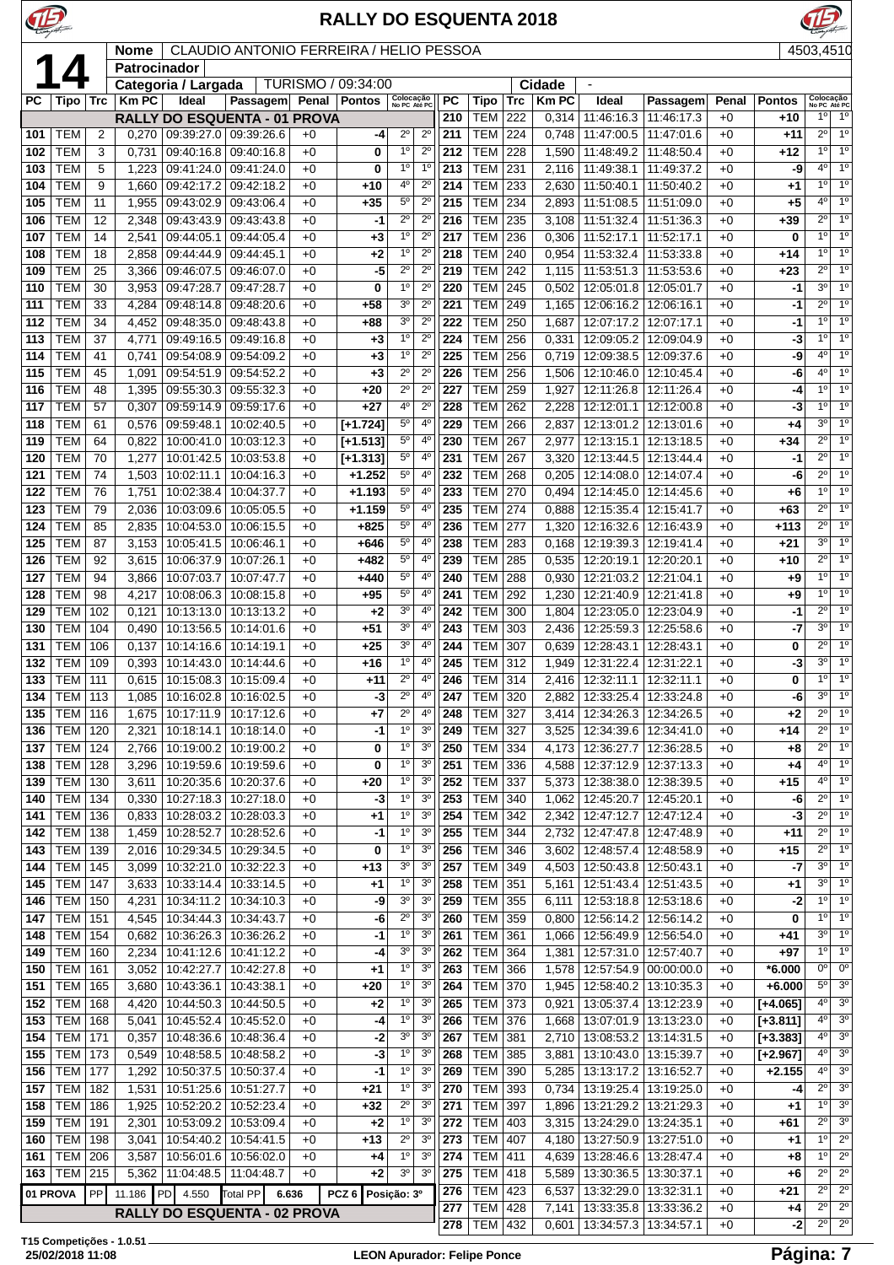

**T15 Competições - 1.0.51**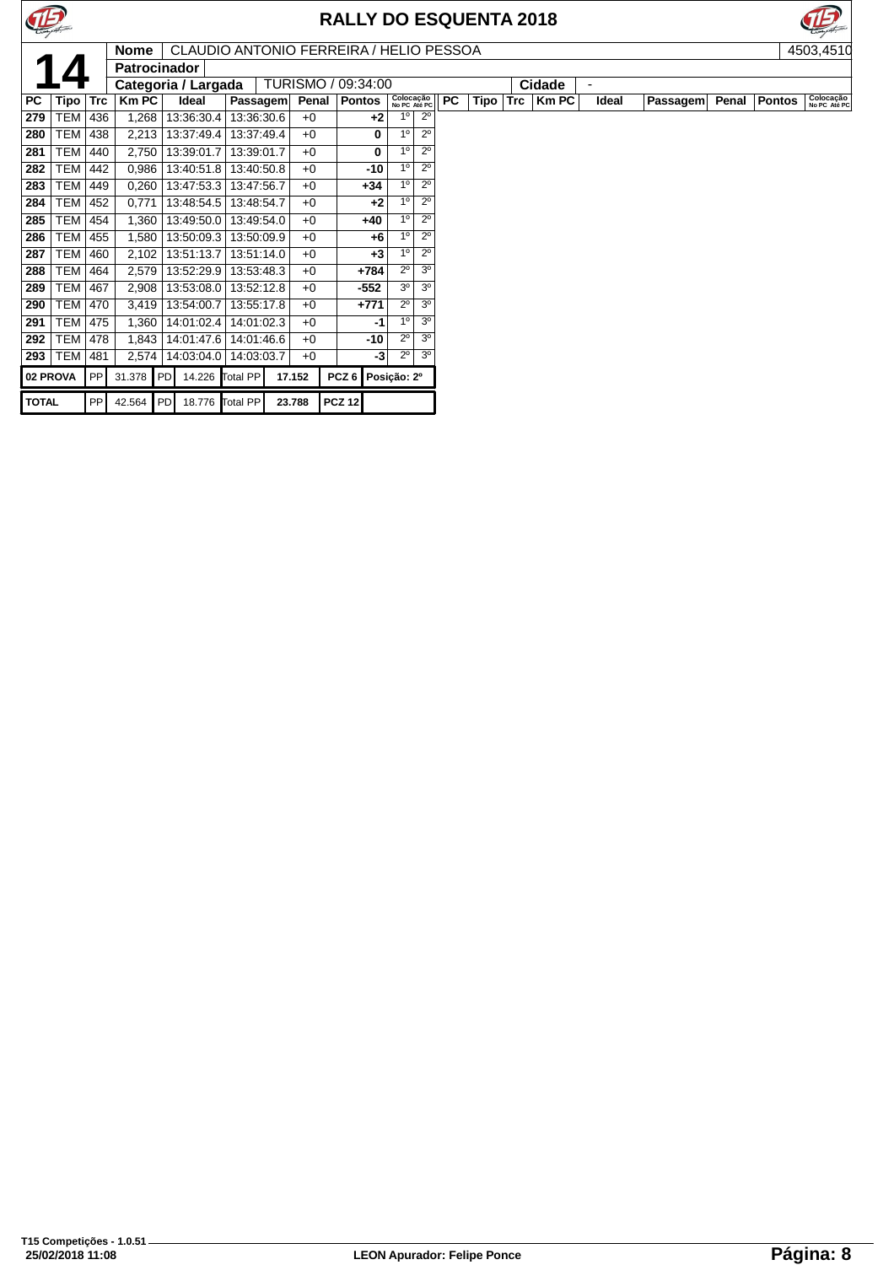



**14503,4510**<br> **14503,4510**<br> **14503,4510**<br> **14503,4510**<br> **14503,4510**<br> **14503,4510**<br> **14503,4510**<br> **14503,4510**<br> **14503,4510**<br> **14503,4510**<br> **14503,4510**<br> **14503,4510**<br> **14503,4510 Patrocinador PC Tipo Trc Km PC Ideal Passagem Penal Pontos Colocação No PC Até PC PC Tipo Trc Km PC Ideal Passagem Penal Pontos Colocação No PC Até PC** TEM 436 1,268 13:36:30.4 13:36:30.6 +0 **+2** 1º 2º TEM 438 2,213 13:37:49.4 13:37:49.4 +0 **0** 1º 2º TEM 440 2,750 13:39:01.7 13:39:01.7 +0 **0** 1º 2º TEM 442 0,986 13:40:51.8 13:40:50.8 +0 **-10** 1º 2º TEM 449 0,260 13:47:53.3 13:47:56.7 +0 **+34** 1º 2º TEM 452 0,771 13:48:54.5 13:48:54.7 +0 **+2** 1º 2º TEM 454 1,360 13:49:50.0 13:49:54.0 +0 **+40** 1º 2º TEM 455 1,580 13:50:09.3 13:50:09.9 +0 **+6** 1º 2º TEM 460 2,102 13:51:13.7 13:51:14.0 +0 **+3** 1º 2º TEM 464 2,579 13:52:29.9 13:53:48.3 +0 **+784** 2º 3º TEM 467 2,908 13:53:08.0 13:52:12.8 +0 **-552** 3º 3º TEM 470 3,419 13:54:00.7 13:55:17.8 +0 +771 TEM 475 1,360 14:01:02.4 14:01:02.3 +0 **-1** 1º 3º

 TEM 478 1,843 14:01:47.6 14:01:46.6 +0 **-10** 2º 3º TEM 481 2,574 14:03:04.0 14:03:03.7 +0 **-3** 2º 3º **02 PROVA** PP 31.378 PD 14.226 Total PP **17.152 PCZ 6 Posição: 2º**

**TOTAL** PP 42.564 PD 18.776 Total PP **23.788 PCZ 12**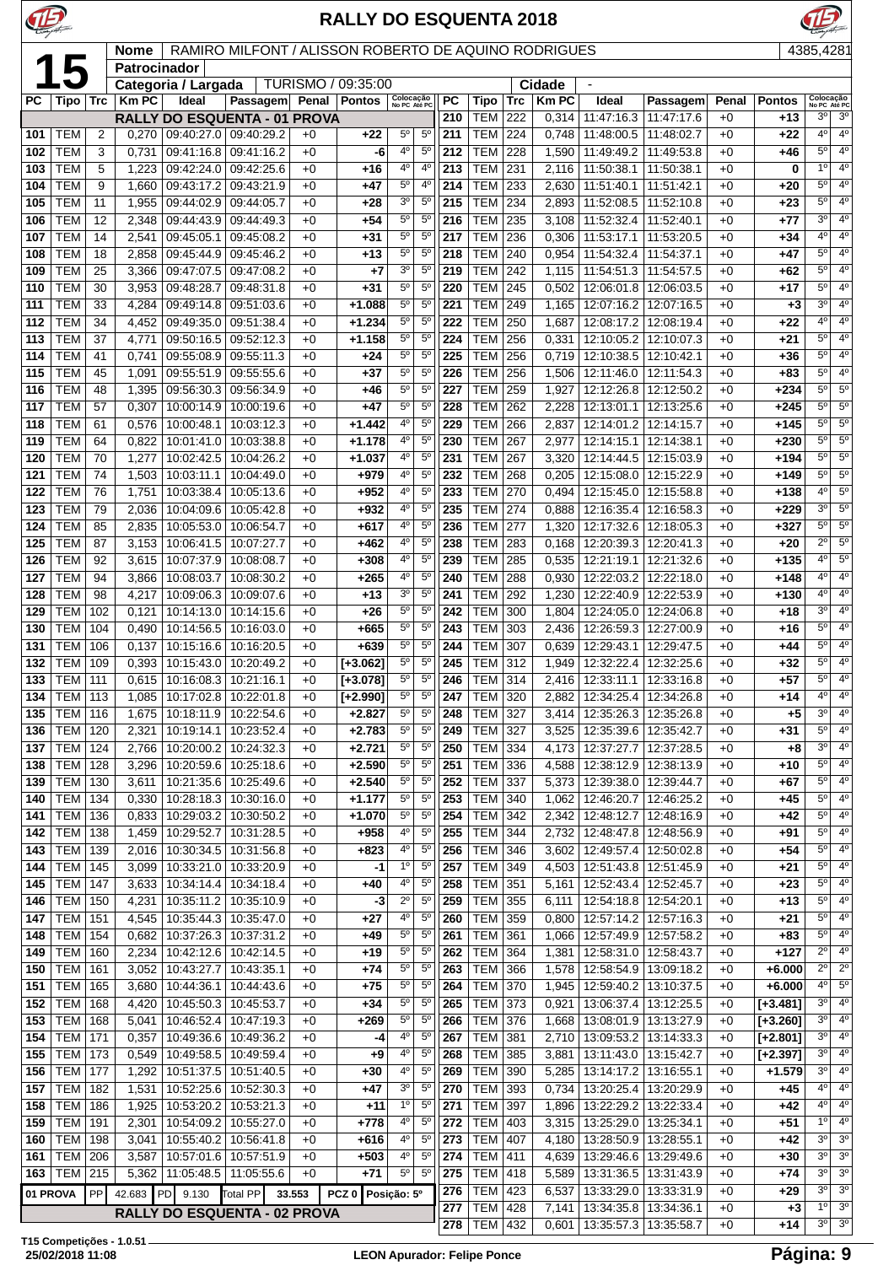| E          |                          | <b>RALLY DO ESQUENTA 2018</b><br>RAMIRO MILFONT / ALISSON ROBERTO DE AQUINO RODRIGUES<br><b>Nome</b><br>Patrocinador |                                     |                                                              |                          |              |                          |                                  |                               |            |                                  |            |                |                                                            |                          |                |                          |                                  |                                    |
|------------|--------------------------|----------------------------------------------------------------------------------------------------------------------|-------------------------------------|--------------------------------------------------------------|--------------------------|--------------|--------------------------|----------------------------------|-------------------------------|------------|----------------------------------|------------|----------------|------------------------------------------------------------|--------------------------|----------------|--------------------------|----------------------------------|------------------------------------|
| 1          |                          |                                                                                                                      |                                     |                                                              |                          |              |                          |                                  |                               |            |                                  |            |                |                                                            |                          |                |                          | 4385,4281                        |                                    |
|            |                          |                                                                                                                      |                                     | Categoria / Largada                                          |                          |              | TURISMO / 09:35:00       |                                  |                               |            |                                  |            | Cidade         |                                                            |                          |                |                          |                                  |                                    |
| <b>PC</b>  | Tipo                     | <b>Trc</b>                                                                                                           | <b>Km PC</b>                        | Ideal                                                        | Passagem                 | Penal        | <b>Pontos</b>            | Colocação<br>No PC Até PC        |                               | PC         | Tipo                             | Trc        | <b>KmPC</b>    | Ideal                                                      | Passagem                 | Penal          | <b>Pontos</b>            | Colocação<br>$3^{\circ}$         | No PC Até PC                       |
| 101        | <b>TEM</b>               | 2                                                                                                                    | 0,270                               | <b>RALLY DO ESQUENTA - 01 PROVA</b><br>09:40:27.0 09:40:29.2 |                          | $+0$         | $+22$                    | $5^{\circ}$                      | $5^{\circ}$                   | 210<br>211 | TEM<br><b>TEM</b>                | 222<br>224 | 0,314<br>0,748 | 11:47:16.3   11:47:17.6<br>11:48:00.5   11:48:02.7         |                          | $+0$<br>$+0$   | +13<br>$+22$             | $4^{\circ}$                      | 3 <sup>o</sup><br>$4^{\circ}$      |
| 102        | <b>TEM</b>               | 3                                                                                                                    | 0,731                               | 09:41:16.8                                                   | 09:41:16.2               | $+0$         | -6                       | 4 <sup>0</sup>                   | $5^{\circ}$                   | 212        | <b>TEM</b>                       | 228        | 1,590          | 11:49:49.2                                                 | 11:49:53.8               | $+0$           | +46                      | $5^{\circ}$                      | $4^{\circ}$                        |
| 103        | <b>TEM</b>               | 5                                                                                                                    | 1,223                               | 09:42:24.0                                                   | 09:42:25.6               | $+0$         | +16                      | $4^{\circ}$                      | $4^{\circ}$                   | 213        | <b>TEM</b>                       | 231        | 2,116          | 11:50:38.1                                                 | 11:50:38.1               | $+0$           | 0                        | 1 <sup>0</sup>                   | $4^{\circ}$                        |
| 104<br>105 | <b>TEM</b><br>TEM        | 9<br>11                                                                                                              | 1,660<br>1,955                      | 09:43:17.2<br>09:44:02.9                                     | 09:43:21.9<br>09:44:05.7 | $+0$<br>$+0$ | +47<br>+28               | $5^{\circ}$<br>3 <sup>o</sup>    | $4^{\circ}$<br>$5^{\circ}$    | 214<br>215 | <b>TEM</b><br><b>TEM</b>         | 233<br>234 | 2,630<br>2,893 | 11:51:40.1<br>11:52:08.5                                   | 11:51:42.1<br>11:52:10.8 | $+0$<br>$+0$   | $+20$<br>$+23$           | $5^{\circ}$<br>5°                | 4 <sup>o</sup><br>$4^{\circ}$      |
| 106        | TEM                      | 12                                                                                                                   | 2,348                               | 09:44:43.9                                                   | 09:44:49.3               | $+0$         | +54                      | $5^{\circ}$                      | $5^{\circ}$                   | 216        | TEM                              | 235        | 3,108          | 11:52:32.4                                                 | 11:52:40.1               | $+0$           | +77                      | 30                               | $4^{\circ}$                        |
| 107        | <b>TEM</b>               | 14                                                                                                                   | 2,541                               | 09:45:05.1                                                   | 09:45:08.2               | $+0$         | +31                      | $5^{\circ}$                      | $5^{\circ}$                   | 217        | <b>TEM</b>                       | 236        | 0,306          | 11:53:17.1                                                 | 11:53:20.5               | $+0$           | +34                      | $4^{\circ}$                      | 4 <sup>0</sup>                     |
| 108        | <b>TEM</b>               | 18                                                                                                                   | 2,858                               | 09:45:44.9                                                   | 09:45:46.2               | $+0$         | +13                      | $5^{\circ}$<br>3 <sup>o</sup>    | $5^{\circ}$<br>$5^{\circ}$    | 218        | <b>TEM</b>                       | 240        | 0,954          | 11:54:32.4                                                 | 11:54:37.1               | $+0$           | $+47$                    | $5^{\circ}$<br>$5^{\circ}$       | 4 <sup>0</sup><br>$4^{\circ}$      |
| 109<br>110 | TEM<br><b>TEM</b>        | 25<br>30                                                                                                             | 3,366<br>3,953                      | 09:47:07.5<br>09:48:28.7                                     | 09:47:08.2<br>09:48:31.8 | $+0$<br>$+0$ | +7<br>+31                | $5^{\circ}$                      | $5^{\circ}$                   | 219<br>220 | TEM<br><b>TEM</b>                | 242<br>245 | 1,115<br>0,502 | 11:54:51.3   11:54:57.5<br>12:06:01.8   12:06:03.5         |                          | $+0$<br>$+0$   | +62<br>+17               | 5°                               | $4^{\circ}$                        |
| 111        | <b>TEM</b>               | 33                                                                                                                   | 4,284                               | 09:49:14.8                                                   | 09:51:03.6               | $+0$         | $+1.088$                 | $5^{\circ}$                      | $5^{\circ}$                   | 221        | <b>TEM</b>                       | 249        | 1,165          | 12:07:16.2 12:07:16.5                                      |                          | $+0$           | $+3$                     | 3 <sup>0</sup>                   | 4 <sup>0</sup>                     |
| 112        | <b>TEM</b>               | 34                                                                                                                   | 4,452                               | 09:49:35.0                                                   | 09:51:38.4               | $+0$         | $+1.234$                 | $5^{\circ}$                      | $5^{\circ}$                   | 222        | <b>TEM</b>                       | 250        | 1,687          | 12:08:17.2                                                 | 12:08:19.4               | $+0$           | $+22$                    | $4^{\circ}$                      | 40                                 |
| 113<br>114 | <b>TEM</b><br>TEM        | 37<br>41                                                                                                             | 4,771<br>0,741                      | 09:50:16.5<br>09:55:08.9                                     | 09:52:12.3<br>09:55:11.3 | $+0$<br>$+0$ | $+1.158$<br>$+24$        | $5^{\circ}$<br>$5^{\circ}$       | $5^{\circ}$<br>$5^{\circ}$    | 224<br>225 | <b>TEM</b><br><b>TEM</b>         | 256<br>256 | 0,331<br>0,719 | 12:10:05.2<br>12:10:38.5   12:10:42.1                      | 12:10:07.3               | $+0$<br>$+0$   | $+21$<br>+36             | $5^{\circ}$<br>$5^{\circ}$       | 4 <sup>o</sup><br>$4^{\circ}$      |
| 115        | TEM                      | 45                                                                                                                   | 1,091                               | 09:55:51.9                                                   | 09:55:55.6               | $+0$         | $+37$                    | $5^{\circ}$                      | $5^{\circ}$                   | 226        | <b>TEM</b>                       | 256        | 1,506          | 12:11:46.0                                                 | 12:11:54.3               | $+0$           | +83                      | $5^{\circ}$                      | 4 <sup>0</sup>                     |
| 116        | TEM                      | 48                                                                                                                   | 1,395                               | 09:56:30.3                                                   | 09:56:34.9               | $+0$         | +46                      | $5^{\circ}$                      | $5^{\circ}$                   | 227        | TEM                              | 259        | 1,927          | 12:12:26.8                                                 | 12:12:50.2               | $+0$           | +234                     | 5 <sup>o</sup>                   | $5^{\circ}$                        |
| 117        | <b>TEM</b>               | 57                                                                                                                   | 0,307                               | 10:00:14.9   10:00:19.6                                      |                          | $+0$         | +47                      | $5^{\circ}$                      | $5^{\circ}$                   | 228        | <b>TEM</b>                       | 262        | 2,228          | 12:13:01.1                                                 | 12:13:25.6               | $+0$           | $+245$                   | $5^{\circ}$                      | $5^\circ$                          |
| 118<br>119 | TEM<br><b>TEM</b>        | 61<br>64                                                                                                             | 0,576<br>0,822                      | 10:00:48.1<br>10:01:41.0                                     | 10:03:12.3<br>10:03:38.8 | $+0$<br>$+0$ | $+1.442$<br>$+1.178$     | 4 <sup>0</sup><br>$4^{\circ}$    | 5 <sup>o</sup><br>$5^{\circ}$ | 229<br>230 | <b>TEM</b><br><b>TEM</b>         | 266<br>267 | 2,837<br>2,977 | 12:14:01.2 12:14:15.7<br>12:14:15.1   12:14:38.1           |                          | $+0$<br>$+0$   | $+145$<br>$+230$         | $5^{\circ}$<br>$5^{\circ}$       | $5^{\circ}$<br>$5^{\circ}$         |
| 120        | <b>TEM</b>               | 70                                                                                                                   | 1,277                               | 10:02:42.5                                                   | 10:04:26.2               | $+0$         | $+1.037$                 | $4^{\circ}$                      | $5^{\circ}$                   | 231        | <b>TEM</b>                       | 267        | 3,320          |                                                            | 12:14:44.5   12:15:03.9  | $+0$           | $+194$                   | $5^{\circ}$                      | $5^\circ$                          |
| 121        | <b>TEM</b>               | 74                                                                                                                   | 1,503                               | 10:03:11.1                                                   | 10:04:49.0               | $+0$         | +979                     | $4^{\circ}$                      | $5^{\circ}$                   | 232        | <b>TEM</b>                       | 268        | 0,205          |                                                            | 12:15:08.0   12:15:22.9  | $+0$           | $+149$                   | $5^{\circ}$                      | $5^{\circ}$                        |
| 122<br>123 | <b>TEM</b><br>TEM        | 76<br>79                                                                                                             | 1,751                               | 10:03:38.4<br>10:04:09.6                                     | 10:05:13.6<br>10:05:42.8 | $+0$<br>$+0$ | $+952$<br>$+932$         | 4 <sup>0</sup><br>$4^{\circ}$    | $5^{\circ}$<br>$5^{\circ}$    | 233<br>235 | <b>TEM</b><br>TEM                | 270<br>274 | 0,494          | 12:15:45.0                                                 | 12:15:58.8<br>12:16:58.3 | $+0$           | $+138$<br>$+229$         | 4 <sup>0</sup><br>3 <sup>0</sup> | $5^{\circ}$<br>$5^{\circ}$         |
| 124        | TEM                      | 85                                                                                                                   | 2,036<br>2,835                      | 10:05:53.0                                                   | 10:06:54.7               | $+0$         | +617                     | 4 <sup>0</sup>                   | $5^{\circ}$                   | 236        | TEM                              | 277        | 0,888<br>1,320 | 12:16:35.4                                                 | 12:17:32.6   12:18:05.3  | $+0$<br>$+0$   | $+327$                   | 5 <sup>o</sup>                   | $5^{\circ}$                        |
| 125        | TEM                      | 87                                                                                                                   | 3,153                               | 10:06:41.5                                                   | 10:07:27.7               | $+0$         | +462                     | 4°                               | $5^{\circ}$                   | 238        | <b>TEM</b>                       | 283        | 0,168          |                                                            | 12:20:39.3   12:20:41.3  | $+0$           | +20                      | $2^{\circ}$                      | $5^{\circ}$                        |
| 126        | <b>TEM</b>               | 92                                                                                                                   | 3,615                               | 10:07:37.9                                                   | 10:08:08.7               | $+0$         | $+308$                   | 4°                               | $5^{\circ}$                   | 239        | <b>TEM</b>                       | 285        | 0,535          | 12:21:19.1                                                 | 12:21:32.6               | $+0$           | $+135$                   | 4 <sup>0</sup>                   | $5^\circ$                          |
| 127<br>128 | TEM<br><b>TEM</b>        | 94<br>98                                                                                                             | 3,866<br>4,217                      | 10:08:03.7<br>10:09:06.3                                     | 10:08:30.2<br>10:09:07.6 | $+0$<br>$+0$ | +265<br>$+13$            | $4^{\circ}$<br>3 <sup>o</sup>    | $5^{\circ}$<br>$5^{\circ}$    | 240<br>241 | TEM<br><b>TEM</b>                | 288<br>292 | 0,930<br>1,230 | 12:22:03.2   12:22:18.0<br>12:22:40.9 12:22:53.9           |                          | $+0$<br>$+0$   | $+148$<br>$+130$         | $4^{\circ}$<br>40                | 4 <sup>0</sup><br>$4^{\circ}$      |
| 129        | <b>TEM</b>               | 102                                                                                                                  | 0,121                               | 10:14:13.0                                                   | 10:14:15.6               | $+0$         | $+26$                    | $5^{\circ}$                      | $5^{\circ}$                   | 242        | <b>TEM</b>                       | 300        | 1,804          |                                                            | 12:24:05.0   12:24:06.8  | $+0$           | +18                      | 3 <sup>0</sup>                   | 4 <sup>0</sup>                     |
| 130        | <b>TEM</b>               | 104                                                                                                                  | 0,490                               | 10:14:56.5                                                   | 10:16:03.0               | $+0$         | +665                     | $5^{\circ}$                      | $5^{\circ}$                   | 243        | <b>TEM</b>                       | 303        | 2,436          |                                                            | 12:26:59.3 12:27:00.9    | $+0$           | $+16$                    | $5^{\circ}$                      | $4^{\circ}$                        |
| 131        | <b>TEM</b>               | 106                                                                                                                  | 0,137                               | 10:15:16.6                                                   | 10:16:20.5               | $+0$         | +639                     | 5 <sup>0</sup>                   | $5^{\circ}$                   | 244        | <b>TEM</b>                       | 307        | 0,639          | 12:29:43.1                                                 | 12:29:47.5               | $+0$           | +44                      | $5^{\circ}$<br>5 <sup>o</sup>    | 4 <sup>0</sup><br>$4^{\circ}$      |
| 132        | TEM  <br>133   TEM   111 | 109                                                                                                                  | 0,393<br>0,615                      | 10:15:43.0   10:20:49.2<br>10:16:08.3 10:21:16.1             |                          | $+0$<br>$+0$ | $[+3.062]$<br>$[-3.078]$ | $5^{\circ}$<br>$5^{\circ}$       | $5^{\circ}$<br>$5^{\circ}$    | 245<br>246 | TEM<br><b>TEM 314</b>            | 312        | 1,949          | 2,416   12:33:11.1   12:33:16.8                            | 12:32:22.4   12:32:25.6  | $+0$<br>+0     | $+32$<br>$+57$           | $5^{\circ}$                      | 4°                                 |
| 134        | TEM                      | 113                                                                                                                  | 1,085                               | 10:17:02.8   10:22:01.8                                      |                          | $+0$         | $[-2.990]$               | $5^{\circ}$                      | $5^{\circ}$                   | 247        | <b>TEM 320</b>                   |            | 2,882          | 12:34:25.4                                                 | 12:34:26.8               | $+0$           | +14                      | $4^{\circ}$                      | 4 <sup>o</sup>                     |
| 135        | <b>TEM</b>               | 116                                                                                                                  | 1,675                               | 10:18:11.9 10:22:54.6                                        |                          | $+0$         | $+2.827$                 | $5^{\circ}$                      | $5^{\rm o}$                   | 248        | <b>TEM 327</b>                   |            | 3,414          |                                                            | 12:35:26.3   12:35:26.8  | $+0$           | $+5$                     | $3^{\circ}$                      | $4^{\circ}$                        |
| 136<br>137 | TEM<br>TEM               | 120<br>124                                                                                                           | 2,321<br>2,766                      | 10:19:14.1   10:23:52.4<br>10:20:00.2 10:24:32.3             |                          | $+0$<br>$+0$ | $+2.783$<br>$+2.721$     | $5^{\circ}$<br>$5^{\circ}$       | $5^{\circ}$<br>$5^{\circ}$    | 249<br>250 | <b>TEM 327</b><br><b>TEM 334</b> |            | 3,525<br>4,173 | 12:35:39.6   12:35:42.7<br>12:37:27.7 12:37:28.5           |                          | +0<br>$+0$     | $+31$<br>$+8$            | $5^{\circ}$<br>3 <sup>0</sup>    | 4 <sup>o</sup><br>$4^{\circ}$      |
| 138        | <b>TEM 128</b>           |                                                                                                                      | 3,296                               | 10:20:59.6   10:25:18.6                                      |                          | $+0$         | $+2.590$                 | $5^{\circ}$                      | 5 <sup>o</sup>                | 251        | TEM 336                          |            | 4,588          | 12:38:12.9 12:38:13.9                                      |                          | $+0$           | +10                      | $5^{\circ}$                      | 4 <sup>o</sup>                     |
| 139        | TEM                      | 130                                                                                                                  | 3,611                               | 10:21:35.6 10:25:49.6                                        |                          | $+0$         | $+2.540$                 | $5^{\circ}$                      | $5^{\circ}$                   | 252        | TEM                              | 337        | 5,373          | 12:39:38.0   12:39:44.7                                    |                          | $+0$           | +67                      | 5 <sup>o</sup>                   | 4 <sup>o</sup>                     |
| 140        | <b>TEM</b>               | 134                                                                                                                  | 0,330                               | 10:28:18.3 10:30:16.0                                        |                          | $+0$         | $+1.177$                 | $5^{\circ}$<br>$5^{\circ}$       | $5^{\circ}$<br>5 <sup>o</sup> | 253        | <b>TEM</b>                       | 340        | 1,062          |                                                            | 12:46:20.7   12:46:25.2  | $+0$           | +45                      | $5^{\circ}$<br>$5^{\circ}$       | 4 <sup>o</sup><br>4 <sup>o</sup>   |
| 141<br>142 | TEM<br><b>TEM 138</b>    | 136                                                                                                                  | 0,833<br>1,459                      | 10:29:03.2 10:30:50.2<br>10:29:52.7                          | 10:31:28.5               | $+0$<br>$+0$ | $+1.070$<br>$+958$       | 4 <sup>0</sup>                   | $5^{\circ}$                   | 254<br>255 | <b>TEM</b><br><b>TEM 344</b>     | 342        | 2,342          | 2,732   12:48:47.8   12:48:56.9                            | 12:48:12.7 12:48:16.9    | $+0$<br>$+0$   | +42<br>+91               | $5^{\circ}$                      | 4 <sup>o</sup>                     |
| 143        | TEM                      | 139                                                                                                                  | 2,016                               | 10:30:34.5                                                   | 10:31:56.8               | $+0$         | $+823$                   | $4^{\circ}$                      | $5^{\circ}$                   | 256        | <b>TEM</b>                       | 346        | 3,602          | 12:49:57.4   12:50:02.8                                    |                          | $+0$           | +54                      | $5^{\circ}$                      | $4^{\circ}$                        |
| 144        | TEM                      | 145                                                                                                                  | 3,099                               | 10:33:21.0   10:33:20.9                                      |                          | $+0$         | -1                       | 1 <sup>o</sup>                   | $5^{\circ}$                   | 257        | TEM                              | 349        | 4,503          | 12:51:43.8   12:51:45.9                                    |                          | $+0$           | $+21$                    | $5^{\circ}$                      | 4 <sup>o</sup>                     |
| 145<br>146 | TEM<br>TEM               | 147<br>150                                                                                                           | 3,633<br>4,231                      | 10:34:14.4   10:34:18.4<br>10:35:11.2   10:35:10.9           |                          | $+0$<br>$+0$ | +40<br>$-3$              | 4 <sup>0</sup><br>$2^{\circ}$    | $5^{\circ}$<br>$5^{\circ}$    | 258<br>259 | <b>TEM 351</b><br>TEM 355        |            | $6,111$        | 5,161   12:52:43.4   12:52:45.7<br>12:54:18.8   12:54:20.1 |                          | $+0$<br>$+0$   | +23<br>$+13$             | $5^{\circ}$<br>$5^{\circ}$       | 4 <sup>o</sup><br>$4^{\circ}$      |
| 147        | TEM                      | 151                                                                                                                  | 4,545                               | 10:35:44.3   10:35:47.0                                      |                          | $+0$         | $+27$                    | $4^{\circ}$                      | $5^{\circ}$                   | 260        | <b>TEM 359</b>                   |            |                | $0,800$   12:57:14.2   12:57:16.3                          |                          | $+0$           | +21                      | $5^{\circ}$                      | $4^{\circ}$                        |
| 148        | TEM                      | 154                                                                                                                  | 0,682                               | 10:37:26.3 10:37:31.2                                        |                          | $+0$         | $+49$                    | $5^{\circ}$                      | 5 <sup>0</sup>                | 261        | <b>TEM</b>                       | 361        | 1,066          | 12:57:49.9   12:57:58.2                                    |                          | $+0$           | +83                      | $5^{\circ}$                      | 4 <sup>o</sup>                     |
| 149        | <b>TEM</b>               | 160                                                                                                                  | 2,234                               | 10:42:12.6   10:42:14.5                                      |                          | $+0$         | $+19$                    | $5^\circ$<br>$5^\circ$           | $5^{\circ}$<br>$5^{\circ}$    | 262        | <b>TEM</b>                       | 364        | 1,381          | 12:58:31.0 12:58:43.7                                      |                          | $+0$           | $+127$                   | $2^{\circ}$<br>$2^{\circ}$       | 4 <sup>o</sup><br>$\overline{2^0}$ |
| 150<br>151 | TEM<br><b>TEM 165</b>    | 161                                                                                                                  | 3,052<br>3,680                      | 10:43:27.7   10:43:35.1<br>10:44:36.1                        | 10:44:43.6               | $+0$<br>$+0$ | $+74$<br>$+75$           | $5^{\circ}$                      | 5 <sup>o</sup>                | 263<br>264 | <b>TEM</b><br><b>TEM 370</b>     | 366        | 1,578<br>1,945 | 12:59:40.2   13:10:37.5                                    | 12:58:54.9   13:09:18.2  | $+0$<br>$+0$   | $+6.000$<br>$+6.000$     | $4^{\circ}$                      | $5^\circ$                          |
| 152        | TEM                      | 168                                                                                                                  | 4,420                               | 10:45:50.3 10:45:53.7                                        |                          | $+0$         | +34                      | $5^{\circ}$                      | $5^{\circ}$                   | 265        | TEM                              | 373        | 0,921          |                                                            | 13:06:37.4   13:12:25.5  | $+0$           | $[+3.481]$               | $3^{\circ}$                      | 4 <sup>o</sup>                     |
| 153        | <b>TEM</b>               | 168                                                                                                                  | 5,041                               | 10:46:52.4                                                   | 10:47:19.3               | $+0$         | $+269$                   | $5^{\circ}$                      | 5 <sup>o</sup>                | 266        | <b>TEM</b>                       | 376        | 1,668          | 13:08:01.9   13:13:27.9                                    |                          | $+0$           | $[+3.260]$               | $3^{\circ}$                      | $4^{\circ}$                        |
| 154<br>155 | TEM<br>TEM               | 171<br>173                                                                                                           | 0,357<br>0,549                      | 10:49:36.6   10:49:36.2<br>10:49:58.5 10:49:59.4             |                          | $+0$<br>$+0$ | -4<br>+9                 | 4 <sup>o</sup><br>$4^{\circ}$    | $5^{\circ}$<br>5 <sup>o</sup> | 267<br>268 | <b>TEM 381</b><br><b>TEM 385</b> |            | 3,881          | 2,710   13:09:53.2   13:14:33.3<br>13:11:43.0   13:15:42.7 |                          | $+0$<br>$+0$   | $[+2.801]$<br>$[-2.397]$ | $3^{\circ}$<br>$3^{\circ}$       | $4^{\circ}$<br>$4^{\circ}$         |
| 156        | TEM                      | 177                                                                                                                  | 1,292                               | 10:51:37.5   10:51:40.5                                      |                          | $+0$         | $+30$                    | 4°                               | $5^{\circ}$                   | 269        | TEM 390                          |            | 5,285          | 13:14:17.2 13:16:55.1                                      |                          | $+0$           | $+1.579$                 | $3^{\circ}$                      | $4^{\circ}$                        |
| 157        | TEM                      | 182                                                                                                                  | 1,531                               | 10:52:25.6   10:52:30.3                                      |                          | $+0$         | +47                      | 3 <sup>o</sup>                   | 5 <sup>o</sup>                | 270        | <b>TEM</b>                       | 393        | 0,734          |                                                            | 13:20:25.4   13:20:29.9  | $+0$           | +45                      | 4 <sup>0</sup>                   | 4 <sup>o</sup>                     |
| 158        | TEM                      | 186                                                                                                                  | 1,925                               | 10:53:20.2 10:53:21.3                                        |                          | $+0$         | $+11$                    | 1 <sup>0</sup><br>4 <sup>0</sup> | 5 <sup>o</sup>                | 271        | <b>TEM</b>                       | 397        | 1,896          | 13:22:29.2   13:22:33.4                                    |                          | $+0$           | $+42$                    | $4^{\circ}$<br>$1^{\circ}$       | 4 <sup>o</sup><br>$4^{\circ}$      |
| 159<br>160 | TEM<br>TEM               | 191<br>198                                                                                                           | 2,301<br>3,041                      | 10:54:09.2 10:55:27.0<br>10:55:40.2   10:56:41.8             |                          | $+0$<br>$+0$ | $+778$<br>$+616$         | 4 <sup>0</sup>                   | $5^{\circ}$<br>$5^{\circ}$    | 272<br>273 | <b>TEM</b><br><b>TEM 407</b>     | 403        | 3,315<br>4,180 | 13:25:29.0   13:25:34.1<br>13:28:50.9   13:28:55.1         |                          | $+0$<br>$+0$   | +51<br>$+42$             | 3 <sup>0</sup>                   | 3 <sup>o</sup>                     |
| 161        | TEM                      | 206                                                                                                                  | 3,587                               | 10:57:01.6   10:57:51.9                                      |                          | $+0$         | $+503$                   | $4^{\circ}$                      | $5^{\circ}$                   | 274        | <b>TEM 411</b>                   |            | 4,639          | 13:29:46.6   13:29:49.6                                    |                          | $+0$           | +30                      | $3^{\circ}$                      | 3 <sup>o</sup>                     |
| 163        | $TEM$ 215                |                                                                                                                      | 5,362                               | 11:05:48.5   11:05:55.6                                      |                          | $+0$         | $+71$                    | $5^{\circ}$                      | $5^{\circ}$                   | 275        | <b>TEM 418</b>                   |            | 5,589          | 13:31:36.5   13:31:43.9                                    |                          | $+0$           | +74                      | $3^{\circ}$                      | 3 <sup>o</sup>                     |
| 01 PROVA   |                          | PP                                                                                                                   |                                     | 42.683 PD 9.130                                              | Total PP                 | 33.553       | PCZ 0 Posição: 5º        |                                  |                               | 276<br>277 | TEM $423$<br><b>TEM 428</b>      |            | 6,537<br>7,141 | 13:34:35.8   13:34:36.1                                    | 13:33:29.0   13:33:31.9  | +0<br>$+0$     | $+29$<br>$+3$            | $3^{\circ}$<br>1 <sup>°</sup>    | 3 <sup>o</sup><br>3 <sup>o</sup>   |
|            |                          |                                                                                                                      | <b>RALLY DO ESQUENTA - 02 PROVA</b> |                                                              |                          |              | 278                      | <b>TEM 432</b>                   |                               |            | 0,601   13:35:57.3   13:35:58.7  |            | $+0$           | $+14$                                                      | $3^{\circ}$              | 3 <sup>o</sup> |                          |                                  |                                    |